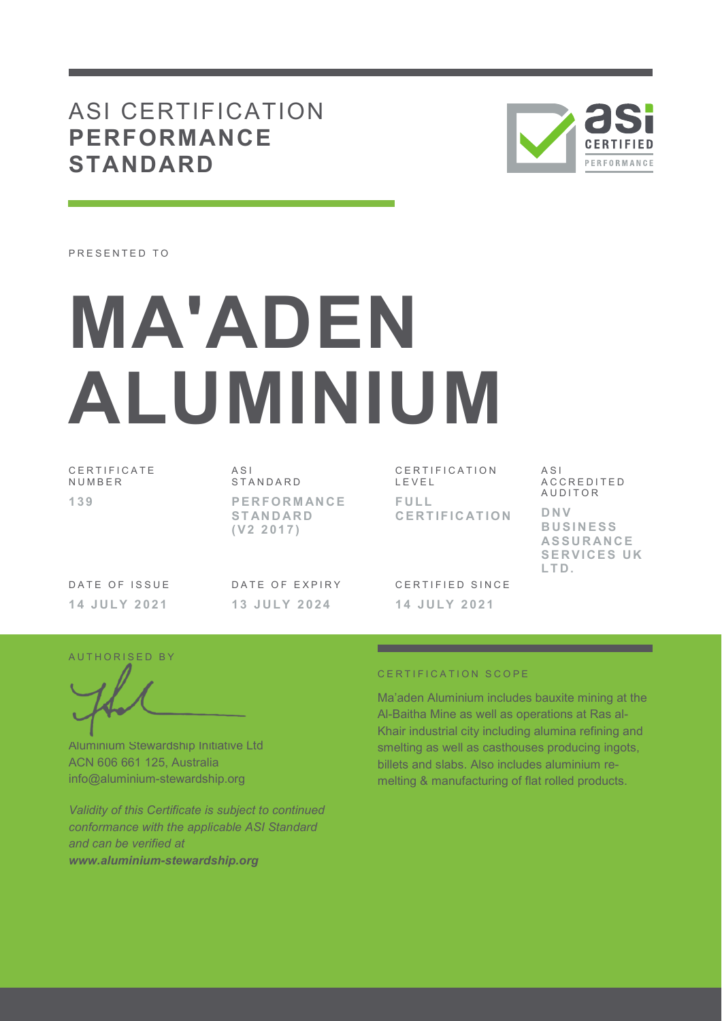## ASI CERTIFICATION **PERFORMANCE STANDARD**



PRESENTED TO

# **MA'ADEN ALUMINIUM**

C E R T I F I C A T E **NUMBER 1 3 9** 

A S I S T A N D A R D **P E R F O R M AN C E S T AN D AR D ( V 2 2 0 1 7 )** 

C E R T I F I C A T I O N L E V E L **F U L L C E R T I F I C AT I O N**  A S I A C C R E D I T E D **AUDITOR D N V B U S I N E S S AS S U R AN C E SERVICES UK L T D .** 

DATE OF ISSUE **1 4 J U L Y 2 0 2 1** 

DATE OF EXPIRY **1 3 J U L Y 2 0 2 4** 

CERTIFIED SINCE **1 4 J U L Y 2 0 2 1** 

AUTHORISED BY

Aluminium Stewardship Initiative Ltd ACN 606 661 125, Australia info@aluminium-stewardship.org

*Validity of this Certificate is subject to continued conformance with the applicable ASI Standard and can be verified at www.aluminium-stewardship.org*

#### CERTIFICATION SCOPE

Ma'aden Aluminium includes bauxite mining at the Al-Baitha Mine as well as operations at Ras al-Khair industrial city including alumina refining and smelting as well as casthouses producing ingots, billets and slabs. Also includes aluminium remelting & manufacturing of flat rolled products.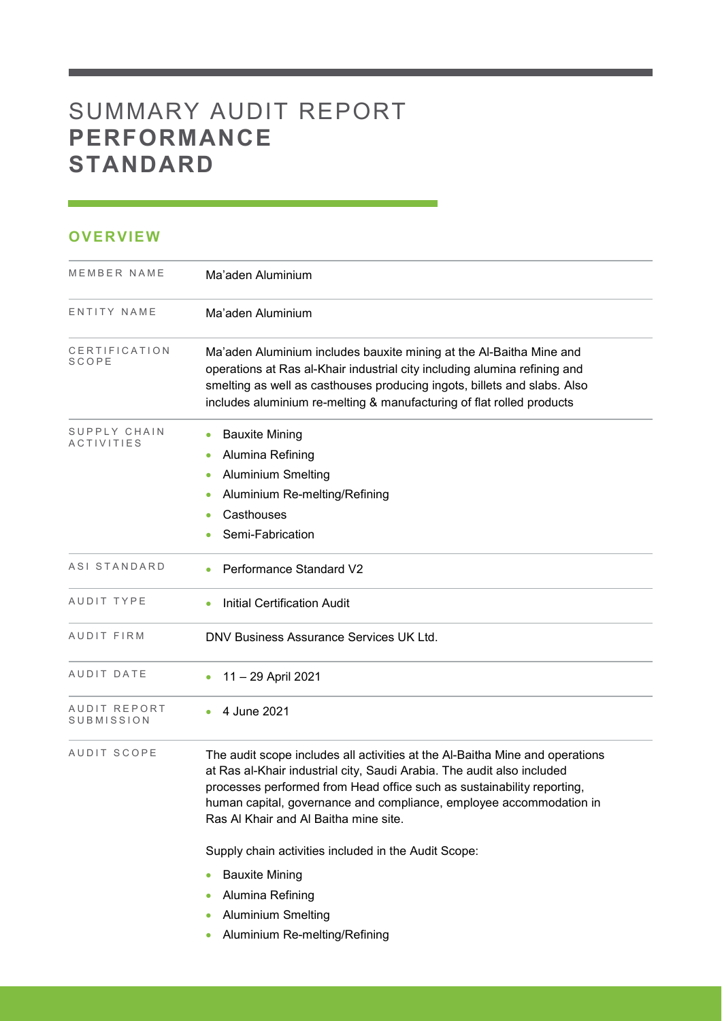## SUMMARY AUDIT REPORT **PERFORMANCE STANDARD**

### **OVERVIEW**

| MEMBER NAME                       | Ma'aden Aluminium                                                                                                                                                                                                                                                                                                                                |
|-----------------------------------|--------------------------------------------------------------------------------------------------------------------------------------------------------------------------------------------------------------------------------------------------------------------------------------------------------------------------------------------------|
| ENTITY NAME                       | Ma'aden Aluminium                                                                                                                                                                                                                                                                                                                                |
| CERTIFICATION<br><b>SCOPE</b>     | Ma'aden Aluminium includes bauxite mining at the Al-Baitha Mine and<br>operations at Ras al-Khair industrial city including alumina refining and<br>smelting as well as casthouses producing ingots, billets and slabs. Also<br>includes aluminium re-melting & manufacturing of flat rolled products                                            |
| SUPPLY CHAIN<br><b>ACTIVITIES</b> | <b>Bauxite Mining</b><br>Alumina Refining<br>۰<br><b>Aluminium Smelting</b><br>$\bullet$<br>Aluminium Re-melting/Refining<br>Casthouses<br>Semi-Fabrication                                                                                                                                                                                      |
| ASI STANDARD                      | Performance Standard V2                                                                                                                                                                                                                                                                                                                          |
| AUDIT TYPE                        | <b>Initial Certification Audit</b>                                                                                                                                                                                                                                                                                                               |
| AUDIT FIRM                        | DNV Business Assurance Services UK Ltd.                                                                                                                                                                                                                                                                                                          |
| AUDIT DATE                        | 11 - 29 April 2021                                                                                                                                                                                                                                                                                                                               |
| AUDIT REPORT<br>SUBMISSION        | 4 June 2021                                                                                                                                                                                                                                                                                                                                      |
| AUDIT SCOPE                       | The audit scope includes all activities at the Al-Baitha Mine and operations<br>at Ras al-Khair industrial city, Saudi Arabia. The audit also included<br>processes performed from Head office such as sustainability reporting,<br>human capital, governance and compliance, employee accommodation in<br>Ras Al Khair and Al Baitha mine site. |
|                                   | Supply chain activities included in the Audit Scope:                                                                                                                                                                                                                                                                                             |
|                                   | <b>Bauxite Mining</b><br>Alumina Refining<br><b>Aluminium Smelting</b>                                                                                                                                                                                                                                                                           |

<u> 1989 - Johann Barnett, mars et al. 1989 - Anna ann an t-</u>

Aluminium Re-melting/Refining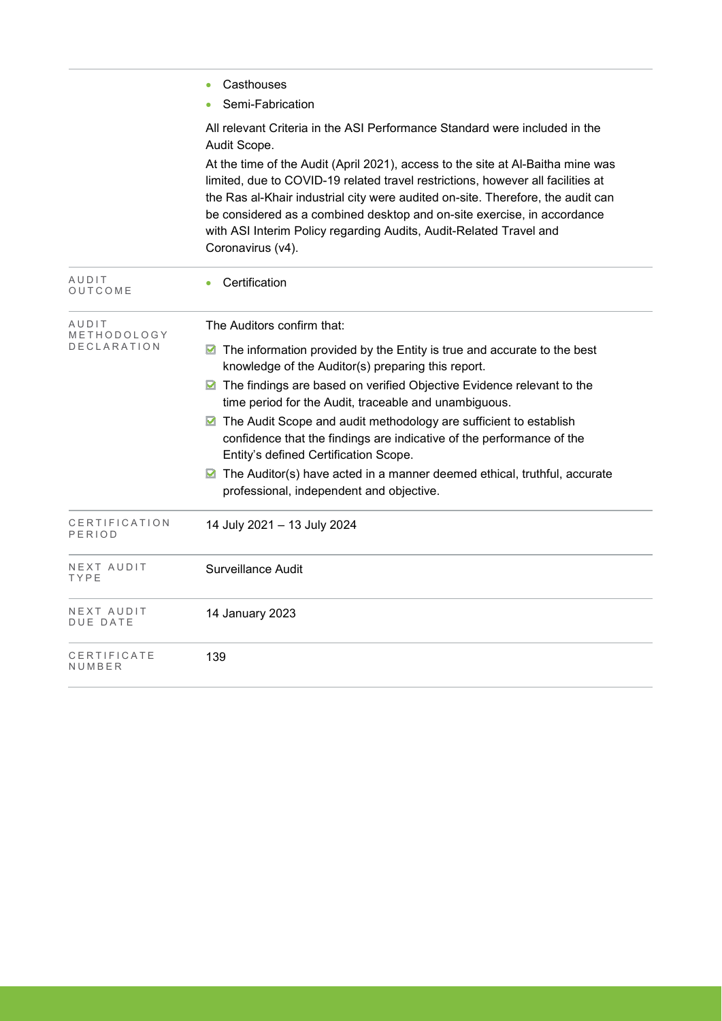- Casthouses
- Semi-Fabrication

All relevant Criteria in the ASI Performance Standard were included in the Audit Scope.

At the time of the Audit (April 2021), access to the site at Al-Baitha mine was limited, due to COVID-19 related travel restrictions, however all facilities at the Ras al-Khair industrial city were audited on-site. Therefore, the audit can be considered as a combined desktop and on-site exercise, in accordance with ASI Interim Policy regarding Audits, Audit-Related Travel and Coronavirus (v4).

| AUDIT<br>OUTCOME        | Certification                                                                                                                                                                       |  |  |  |  |
|-------------------------|-------------------------------------------------------------------------------------------------------------------------------------------------------------------------------------|--|--|--|--|
| AUDIT<br>METHODOLOGY    | The Auditors confirm that:                                                                                                                                                          |  |  |  |  |
| <b>DECLARATION</b>      | The information provided by the Entity is true and accurate to the best<br>⊠<br>knowledge of the Auditor(s) preparing this report.                                                  |  |  |  |  |
|                         | The findings are based on verified Objective Evidence relevant to the<br>M<br>time period for the Audit, traceable and unambiguous.                                                 |  |  |  |  |
|                         | The Audit Scope and audit methodology are sufficient to establish<br>confidence that the findings are indicative of the performance of the<br>Entity's defined Certification Scope. |  |  |  |  |
|                         | The Auditor(s) have acted in a manner deemed ethical, truthful, accurate<br>M<br>professional, independent and objective.                                                           |  |  |  |  |
| CERTIFICATION<br>PERIOD | 14 July 2021 - 13 July 2024                                                                                                                                                         |  |  |  |  |
| NEXT AUDIT<br>TYPE      | Surveillance Audit                                                                                                                                                                  |  |  |  |  |
| NEXT AUDIT<br>DUE DATE  | 14 January 2023                                                                                                                                                                     |  |  |  |  |
| CERTIFICATE<br>NUMBER   | 139                                                                                                                                                                                 |  |  |  |  |
|                         |                                                                                                                                                                                     |  |  |  |  |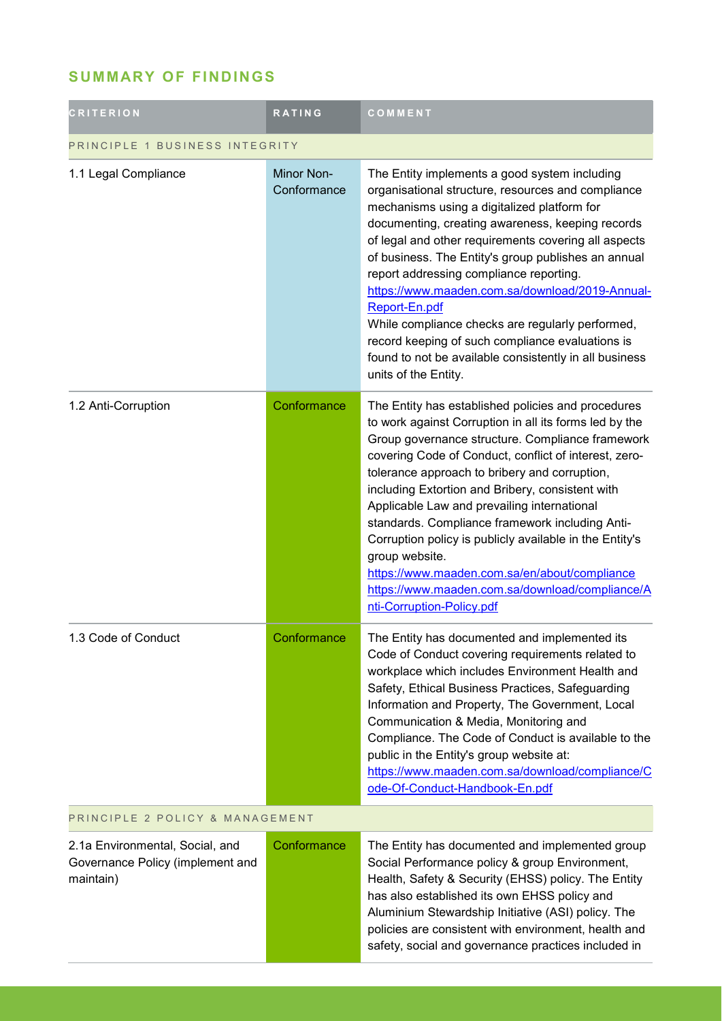## **SUMMARY OF FINDINGS**

| <b>CRITERION</b>                                                                 | <b>RATING</b>                    | COMMENT                                                                                                                                                                                                                                                                                                                                                                                                                                                                                                                                                                                                                                        |  |
|----------------------------------------------------------------------------------|----------------------------------|------------------------------------------------------------------------------------------------------------------------------------------------------------------------------------------------------------------------------------------------------------------------------------------------------------------------------------------------------------------------------------------------------------------------------------------------------------------------------------------------------------------------------------------------------------------------------------------------------------------------------------------------|--|
| PRINCIPLE 1 BUSINESS INTEGRITY                                                   |                                  |                                                                                                                                                                                                                                                                                                                                                                                                                                                                                                                                                                                                                                                |  |
| 1.1 Legal Compliance                                                             | <b>Minor Non-</b><br>Conformance | The Entity implements a good system including<br>organisational structure, resources and compliance<br>mechanisms using a digitalized platform for<br>documenting, creating awareness, keeping records<br>of legal and other requirements covering all aspects<br>of business. The Entity's group publishes an annual<br>report addressing compliance reporting.<br>https://www.maaden.com.sa/download/2019-Annual-<br>Report-En.pdf<br>While compliance checks are regularly performed,<br>record keeping of such compliance evaluations is<br>found to not be available consistently in all business<br>units of the Entity.                 |  |
| 1.2 Anti-Corruption                                                              | Conformance                      | The Entity has established policies and procedures<br>to work against Corruption in all its forms led by the<br>Group governance structure. Compliance framework<br>covering Code of Conduct, conflict of interest, zero-<br>tolerance approach to bribery and corruption,<br>including Extortion and Bribery, consistent with<br>Applicable Law and prevailing international<br>standards. Compliance framework including Anti-<br>Corruption policy is publicly available in the Entity's<br>group website.<br>https://www.maaden.com.sa/en/about/compliance<br>https://www.maaden.com.sa/download/compliance/A<br>nti-Corruption-Policy.pdf |  |
| 1.3 Code of Conduct                                                              | Conformance                      | The Entity has documented and implemented its<br>Code of Conduct covering requirements related to<br>workplace which includes Environment Health and<br>Safety, Ethical Business Practices, Safeguarding<br>Information and Property, The Government, Local<br>Communication & Media, Monitoring and<br>Compliance. The Code of Conduct is available to the<br>public in the Entity's group website at:<br>https://www.maaden.com.sa/download/compliance/C<br>ode-Of-Conduct-Handbook-En.pdf                                                                                                                                                   |  |
| PRINCIPLE 2 POLICY & MANAGEMENT                                                  |                                  |                                                                                                                                                                                                                                                                                                                                                                                                                                                                                                                                                                                                                                                |  |
| 2.1a Environmental, Social, and<br>Governance Policy (implement and<br>maintain) | Conformance                      | The Entity has documented and implemented group<br>Social Performance policy & group Environment,<br>Health, Safety & Security (EHSS) policy. The Entity<br>has also established its own EHSS policy and<br>Aluminium Stewardship Initiative (ASI) policy. The<br>policies are consistent with environment, health and<br>safety, social and governance practices included in                                                                                                                                                                                                                                                                  |  |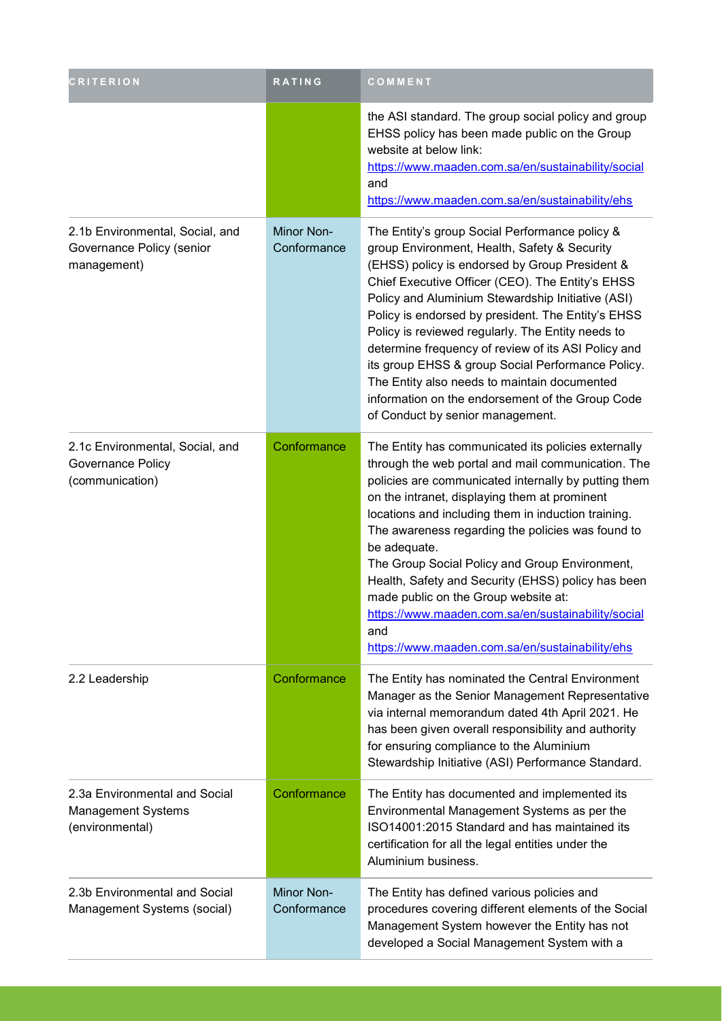| <b>CRITERION</b>                                                              | RATING                    | COMMENT                                                                                                                                                                                                                                                                                                                                                                                                                                                                                                                                                                                                                  |
|-------------------------------------------------------------------------------|---------------------------|--------------------------------------------------------------------------------------------------------------------------------------------------------------------------------------------------------------------------------------------------------------------------------------------------------------------------------------------------------------------------------------------------------------------------------------------------------------------------------------------------------------------------------------------------------------------------------------------------------------------------|
|                                                                               |                           | the ASI standard. The group social policy and group<br>EHSS policy has been made public on the Group<br>website at below link:<br>https://www.maaden.com.sa/en/sustainability/social<br>and<br>https://www.maaden.com.sa/en/sustainability/ehs                                                                                                                                                                                                                                                                                                                                                                           |
| 2.1b Environmental, Social, and<br>Governance Policy (senior<br>management)   | Minor Non-<br>Conformance | The Entity's group Social Performance policy &<br>group Environment, Health, Safety & Security<br>(EHSS) policy is endorsed by Group President &<br>Chief Executive Officer (CEO). The Entity's EHSS<br>Policy and Aluminium Stewardship Initiative (ASI)<br>Policy is endorsed by president. The Entity's EHSS<br>Policy is reviewed regularly. The Entity needs to<br>determine frequency of review of its ASI Policy and<br>its group EHSS & group Social Performance Policy.<br>The Entity also needs to maintain documented<br>information on the endorsement of the Group Code<br>of Conduct by senior management. |
| 2.1c Environmental, Social, and<br>Governance Policy<br>(communication)       | Conformance               | The Entity has communicated its policies externally<br>through the web portal and mail communication. The<br>policies are communicated internally by putting them<br>on the intranet, displaying them at prominent<br>locations and including them in induction training.<br>The awareness regarding the policies was found to<br>be adequate.<br>The Group Social Policy and Group Environment,<br>Health, Safety and Security (EHSS) policy has been<br>made public on the Group website at:<br>https://www.maaden.com.sa/en/sustainability/social<br>and<br>https://www.maaden.com.sa/en/sustainability/ehs           |
| 2.2 Leadership                                                                | Conformance               | The Entity has nominated the Central Environment<br>Manager as the Senior Management Representative<br>via internal memorandum dated 4th April 2021. He<br>has been given overall responsibility and authority<br>for ensuring compliance to the Aluminium<br>Stewardship Initiative (ASI) Performance Standard.                                                                                                                                                                                                                                                                                                         |
| 2.3a Environmental and Social<br><b>Management Systems</b><br>(environmental) | Conformance               | The Entity has documented and implemented its<br>Environmental Management Systems as per the<br>ISO14001:2015 Standard and has maintained its<br>certification for all the legal entities under the<br>Aluminium business.                                                                                                                                                                                                                                                                                                                                                                                               |
| 2.3b Environmental and Social<br>Management Systems (social)                  | Minor Non-<br>Conformance | The Entity has defined various policies and<br>procedures covering different elements of the Social<br>Management System however the Entity has not<br>developed a Social Management System with a                                                                                                                                                                                                                                                                                                                                                                                                                       |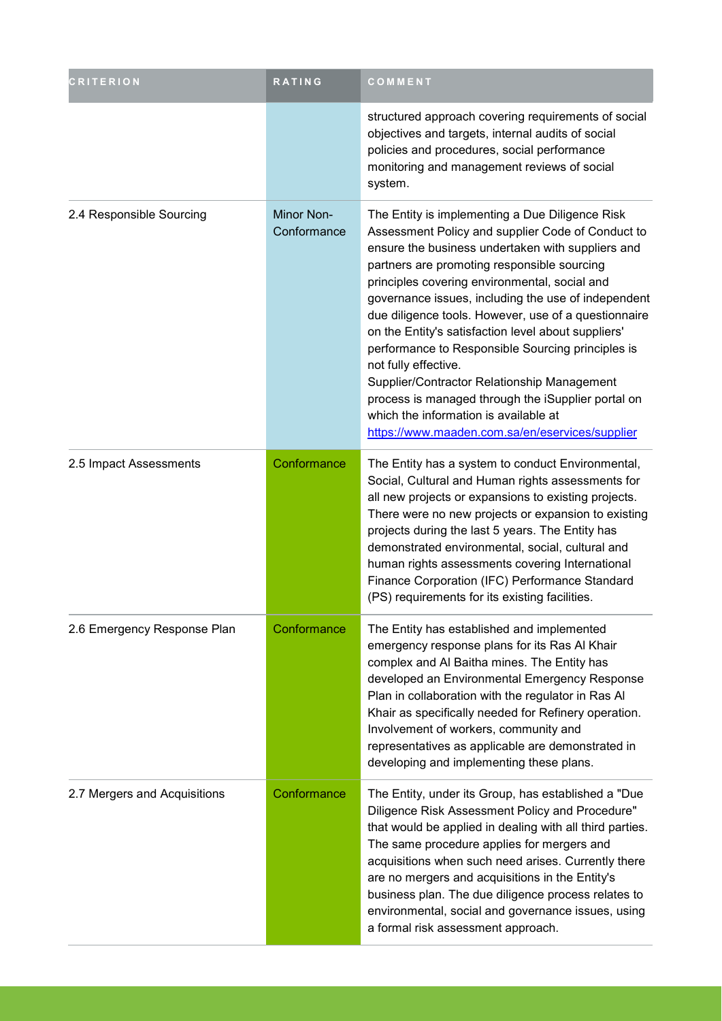| <b>CRITERION</b>             | RATING                    | COMMENT                                                                                                                                                                                                                                                                                                                                                                                                                                                                                                                                                                                                                                                                                                       |
|------------------------------|---------------------------|---------------------------------------------------------------------------------------------------------------------------------------------------------------------------------------------------------------------------------------------------------------------------------------------------------------------------------------------------------------------------------------------------------------------------------------------------------------------------------------------------------------------------------------------------------------------------------------------------------------------------------------------------------------------------------------------------------------|
|                              |                           | structured approach covering requirements of social<br>objectives and targets, internal audits of social<br>policies and procedures, social performance<br>monitoring and management reviews of social<br>system.                                                                                                                                                                                                                                                                                                                                                                                                                                                                                             |
| 2.4 Responsible Sourcing     | Minor Non-<br>Conformance | The Entity is implementing a Due Diligence Risk<br>Assessment Policy and supplier Code of Conduct to<br>ensure the business undertaken with suppliers and<br>partners are promoting responsible sourcing<br>principles covering environmental, social and<br>governance issues, including the use of independent<br>due diligence tools. However, use of a questionnaire<br>on the Entity's satisfaction level about suppliers'<br>performance to Responsible Sourcing principles is<br>not fully effective.<br>Supplier/Contractor Relationship Management<br>process is managed through the iSupplier portal on<br>which the information is available at<br>https://www.maaden.com.sa/en/eservices/supplier |
| 2.5 Impact Assessments       | Conformance               | The Entity has a system to conduct Environmental,<br>Social, Cultural and Human rights assessments for<br>all new projects or expansions to existing projects.<br>There were no new projects or expansion to existing<br>projects during the last 5 years. The Entity has<br>demonstrated environmental, social, cultural and<br>human rights assessments covering International<br>Finance Corporation (IFC) Performance Standard<br>(PS) requirements for its existing facilities.                                                                                                                                                                                                                          |
| 2.6 Emergency Response Plan  | Conformance               | The Entity has established and implemented<br>emergency response plans for its Ras Al Khair<br>complex and Al Baitha mines. The Entity has<br>developed an Environmental Emergency Response<br>Plan in collaboration with the regulator in Ras Al<br>Khair as specifically needed for Refinery operation.<br>Involvement of workers, community and<br>representatives as applicable are demonstrated in<br>developing and implementing these plans.                                                                                                                                                                                                                                                           |
| 2.7 Mergers and Acquisitions | Conformance               | The Entity, under its Group, has established a "Due<br>Diligence Risk Assessment Policy and Procedure"<br>that would be applied in dealing with all third parties.<br>The same procedure applies for mergers and<br>acquisitions when such need arises. Currently there<br>are no mergers and acquisitions in the Entity's<br>business plan. The due diligence process relates to<br>environmental, social and governance issues, using<br>a formal risk assessment approach.                                                                                                                                                                                                                                 |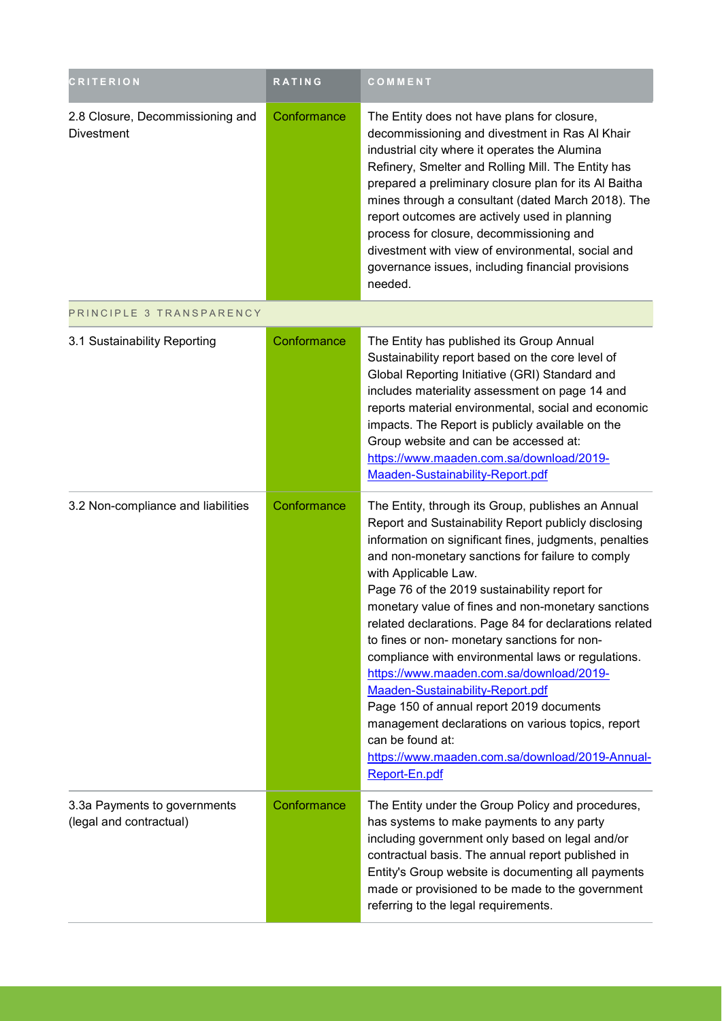| <b>CRITERION</b>                                        | RATING      | COMMENT                                                                                                                                                                                                                                                                                                                                                                                                                                                                                                                                                                                                                                                                                                                                                                                          |
|---------------------------------------------------------|-------------|--------------------------------------------------------------------------------------------------------------------------------------------------------------------------------------------------------------------------------------------------------------------------------------------------------------------------------------------------------------------------------------------------------------------------------------------------------------------------------------------------------------------------------------------------------------------------------------------------------------------------------------------------------------------------------------------------------------------------------------------------------------------------------------------------|
| 2.8 Closure, Decommissioning and<br><b>Divestment</b>   | Conformance | The Entity does not have plans for closure,<br>decommissioning and divestment in Ras Al Khair<br>industrial city where it operates the Alumina<br>Refinery, Smelter and Rolling Mill. The Entity has<br>prepared a preliminary closure plan for its Al Baitha<br>mines through a consultant (dated March 2018). The<br>report outcomes are actively used in planning<br>process for closure, decommissioning and<br>divestment with view of environmental, social and<br>governance issues, including financial provisions<br>needed.                                                                                                                                                                                                                                                            |
| PRINCIPLE 3 TRANSPARENCY                                |             |                                                                                                                                                                                                                                                                                                                                                                                                                                                                                                                                                                                                                                                                                                                                                                                                  |
| 3.1 Sustainability Reporting                            | Conformance | The Entity has published its Group Annual<br>Sustainability report based on the core level of<br>Global Reporting Initiative (GRI) Standard and<br>includes materiality assessment on page 14 and<br>reports material environmental, social and economic<br>impacts. The Report is publicly available on the<br>Group website and can be accessed at:<br>https://www.maaden.com.sa/download/2019-<br>Maaden-Sustainability-Report.pdf                                                                                                                                                                                                                                                                                                                                                            |
| 3.2 Non-compliance and liabilities                      | Conformance | The Entity, through its Group, publishes an Annual<br>Report and Sustainability Report publicly disclosing<br>information on significant fines, judgments, penalties<br>and non-monetary sanctions for failure to comply<br>with Applicable Law.<br>Page 76 of the 2019 sustainability report for<br>monetary value of fines and non-monetary sanctions<br>related declarations. Page 84 for declarations related<br>to fines or non- monetary sanctions for non-<br>compliance with environmental laws or regulations.<br>https://www.maaden.com.sa/download/2019-<br>Maaden-Sustainability-Report.pdf<br>Page 150 of annual report 2019 documents<br>management declarations on various topics, report<br>can be found at:<br>https://www.maaden.com.sa/download/2019-Annual-<br>Report-En.pdf |
| 3.3a Payments to governments<br>(legal and contractual) | Conformance | The Entity under the Group Policy and procedures,<br>has systems to make payments to any party<br>including government only based on legal and/or<br>contractual basis. The annual report published in<br>Entity's Group website is documenting all payments<br>made or provisioned to be made to the government<br>referring to the legal requirements.                                                                                                                                                                                                                                                                                                                                                                                                                                         |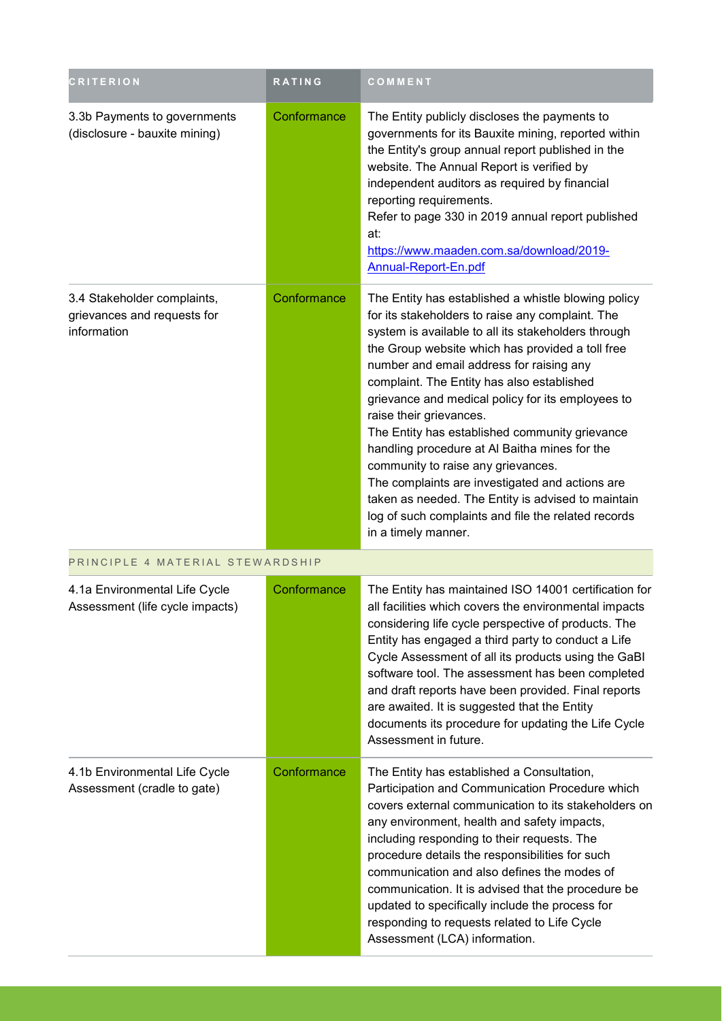| <b>CRITERION</b>                                                          | <b>RATING</b> | COMMENT                                                                                                                                                                                                                                                                                                                                                                                                                                                                                                                                                                                                                                                                                                                      |
|---------------------------------------------------------------------------|---------------|------------------------------------------------------------------------------------------------------------------------------------------------------------------------------------------------------------------------------------------------------------------------------------------------------------------------------------------------------------------------------------------------------------------------------------------------------------------------------------------------------------------------------------------------------------------------------------------------------------------------------------------------------------------------------------------------------------------------------|
| 3.3b Payments to governments<br>(disclosure - bauxite mining)             | Conformance   | The Entity publicly discloses the payments to<br>governments for its Bauxite mining, reported within<br>the Entity's group annual report published in the<br>website. The Annual Report is verified by<br>independent auditors as required by financial<br>reporting requirements.<br>Refer to page 330 in 2019 annual report published<br>at:<br>https://www.maaden.com.sa/download/2019-<br>Annual-Report-En.pdf                                                                                                                                                                                                                                                                                                           |
| 3.4 Stakeholder complaints,<br>grievances and requests for<br>information | Conformance   | The Entity has established a whistle blowing policy<br>for its stakeholders to raise any complaint. The<br>system is available to all its stakeholders through<br>the Group website which has provided a toll free<br>number and email address for raising any<br>complaint. The Entity has also established<br>grievance and medical policy for its employees to<br>raise their grievances.<br>The Entity has established community grievance<br>handling procedure at Al Baitha mines for the<br>community to raise any grievances.<br>The complaints are investigated and actions are<br>taken as needed. The Entity is advised to maintain<br>log of such complaints and file the related records<br>in a timely manner. |
| PRINCIPLE 4 MATERIAL STEWARDSHIP                                          |               |                                                                                                                                                                                                                                                                                                                                                                                                                                                                                                                                                                                                                                                                                                                              |
| 4.1a Environmental Life Cycle<br>Assessment (life cycle impacts)          | Conformance   | The Entity has maintained ISO 14001 certification for<br>all facilities which covers the environmental impacts<br>considering life cycle perspective of products. The<br>Entity has engaged a third party to conduct a Life<br>Cycle Assessment of all its products using the GaBI<br>software tool. The assessment has been completed<br>and draft reports have been provided. Final reports<br>are awaited. It is suggested that the Entity<br>documents its procedure for updating the Life Cycle<br>Assessment in future.                                                                                                                                                                                                |
| 4.1b Environmental Life Cycle<br>Assessment (cradle to gate)              | Conformance   | The Entity has established a Consultation,<br>Participation and Communication Procedure which<br>covers external communication to its stakeholders on<br>any environment, health and safety impacts,<br>including responding to their requests. The<br>procedure details the responsibilities for such<br>communication and also defines the modes of<br>communication. It is advised that the procedure be<br>updated to specifically include the process for<br>responding to requests related to Life Cycle<br>Assessment (LCA) information.                                                                                                                                                                              |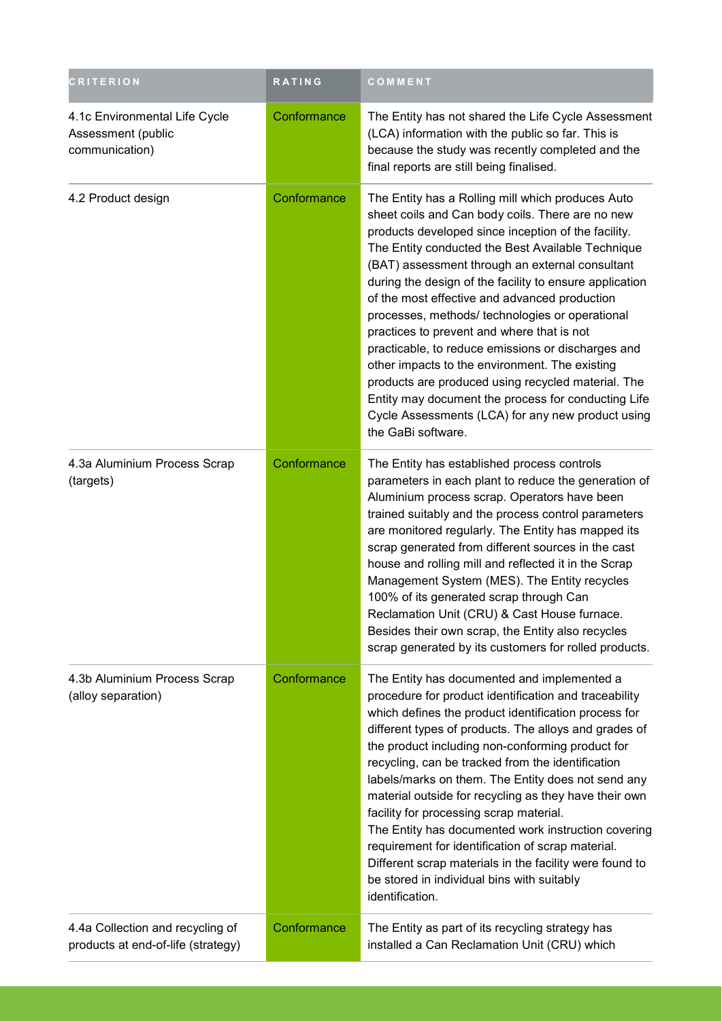| <b>CRITERION</b>                                                       | RATING      | COMMENT                                                                                                                                                                                                                                                                                                                                                                                                                                                                                                                                                                                                                                                                                                                                                                           |
|------------------------------------------------------------------------|-------------|-----------------------------------------------------------------------------------------------------------------------------------------------------------------------------------------------------------------------------------------------------------------------------------------------------------------------------------------------------------------------------------------------------------------------------------------------------------------------------------------------------------------------------------------------------------------------------------------------------------------------------------------------------------------------------------------------------------------------------------------------------------------------------------|
| 4.1c Environmental Life Cycle<br>Assessment (public<br>communication)  | Conformance | The Entity has not shared the Life Cycle Assessment<br>(LCA) information with the public so far. This is<br>because the study was recently completed and the<br>final reports are still being finalised.                                                                                                                                                                                                                                                                                                                                                                                                                                                                                                                                                                          |
| 4.2 Product design                                                     | Conformance | The Entity has a Rolling mill which produces Auto<br>sheet coils and Can body coils. There are no new<br>products developed since inception of the facility.<br>The Entity conducted the Best Available Technique<br>(BAT) assessment through an external consultant<br>during the design of the facility to ensure application<br>of the most effective and advanced production<br>processes, methods/ technologies or operational<br>practices to prevent and where that is not<br>practicable, to reduce emissions or discharges and<br>other impacts to the environment. The existing<br>products are produced using recycled material. The<br>Entity may document the process for conducting Life<br>Cycle Assessments (LCA) for any new product using<br>the GaBi software. |
| 4.3a Aluminium Process Scrap<br>(targets)                              | Conformance | The Entity has established process controls<br>parameters in each plant to reduce the generation of<br>Aluminium process scrap. Operators have been<br>trained suitably and the process control parameters<br>are monitored regularly. The Entity has mapped its<br>scrap generated from different sources in the cast<br>house and rolling mill and reflected it in the Scrap<br>Management System (MES). The Entity recycles<br>100% of its generated scrap through Can<br>Reclamation Unit (CRU) & Cast House furnace.<br>Besides their own scrap, the Entity also recycles<br>scrap generated by its customers for rolled products.                                                                                                                                           |
| 4.3b Aluminium Process Scrap<br>(alloy separation)                     | Conformance | The Entity has documented and implemented a<br>procedure for product identification and traceability<br>which defines the product identification process for<br>different types of products. The alloys and grades of<br>the product including non-conforming product for<br>recycling, can be tracked from the identification<br>labels/marks on them. The Entity does not send any<br>material outside for recycling as they have their own<br>facility for processing scrap material.<br>The Entity has documented work instruction covering<br>requirement for identification of scrap material.<br>Different scrap materials in the facility were found to<br>be stored in individual bins with suitably<br>identification.                                                  |
| 4.4a Collection and recycling of<br>products at end-of-life (strategy) | Conformance | The Entity as part of its recycling strategy has<br>installed a Can Reclamation Unit (CRU) which                                                                                                                                                                                                                                                                                                                                                                                                                                                                                                                                                                                                                                                                                  |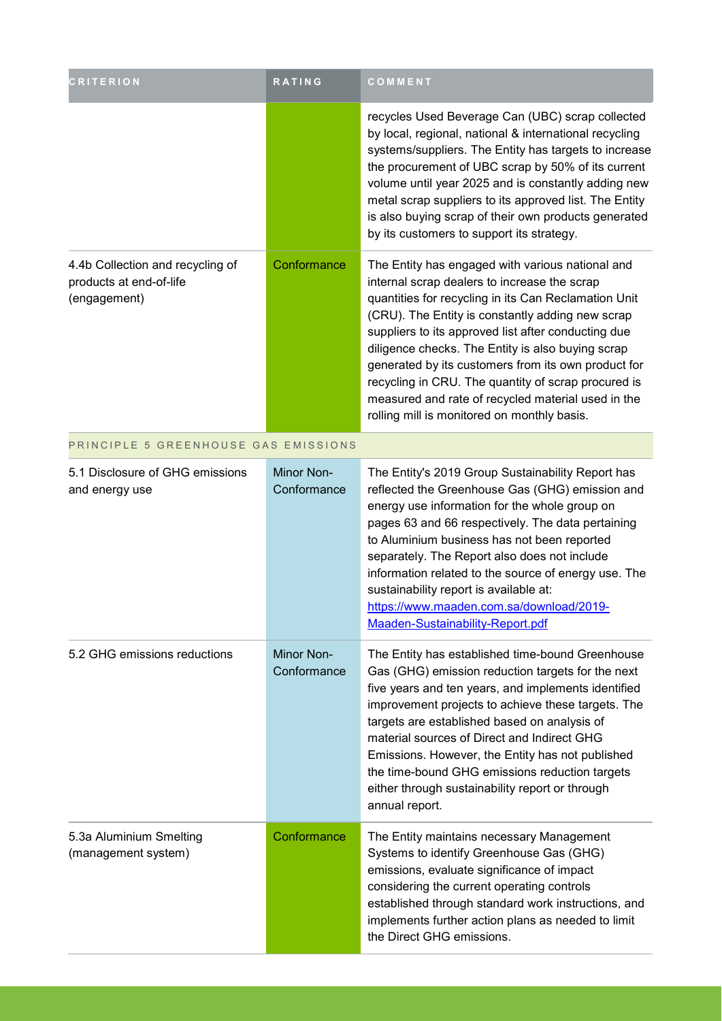| <b>CRITERION</b>                                                            | RATING                    | COMMENT                                                                                                                                                                                                                                                                                                                                                                                                                                                                                                                                     |
|-----------------------------------------------------------------------------|---------------------------|---------------------------------------------------------------------------------------------------------------------------------------------------------------------------------------------------------------------------------------------------------------------------------------------------------------------------------------------------------------------------------------------------------------------------------------------------------------------------------------------------------------------------------------------|
|                                                                             |                           | recycles Used Beverage Can (UBC) scrap collected<br>by local, regional, national & international recycling<br>systems/suppliers. The Entity has targets to increase<br>the procurement of UBC scrap by 50% of its current<br>volume until year 2025 and is constantly adding new<br>metal scrap suppliers to its approved list. The Entity<br>is also buying scrap of their own products generated<br>by its customers to support its strategy.                                                                                             |
| 4.4b Collection and recycling of<br>products at end-of-life<br>(engagement) | Conformance               | The Entity has engaged with various national and<br>internal scrap dealers to increase the scrap<br>quantities for recycling in its Can Reclamation Unit<br>(CRU). The Entity is constantly adding new scrap<br>suppliers to its approved list after conducting due<br>diligence checks. The Entity is also buying scrap<br>generated by its customers from its own product for<br>recycling in CRU. The quantity of scrap procured is<br>measured and rate of recycled material used in the<br>rolling mill is monitored on monthly basis. |
| PRINCIPLE 5 GREENHOUSE GAS EMISSIONS                                        |                           |                                                                                                                                                                                                                                                                                                                                                                                                                                                                                                                                             |
| 5.1 Disclosure of GHG emissions<br>and energy use                           | Minor Non-<br>Conformance | The Entity's 2019 Group Sustainability Report has<br>reflected the Greenhouse Gas (GHG) emission and<br>energy use information for the whole group on<br>pages 63 and 66 respectively. The data pertaining<br>to Aluminium business has not been reported<br>separately. The Report also does not include<br>information related to the source of energy use. The<br>sustainability report is available at:<br>https://www.maaden.com.sa/download/2019-<br>Maaden-Sustainability-Report.pdf                                                 |
| 5.2 GHG emissions reductions                                                | Minor Non-<br>Conformance | The Entity has established time-bound Greenhouse<br>Gas (GHG) emission reduction targets for the next<br>five years and ten years, and implements identified<br>improvement projects to achieve these targets. The<br>targets are established based on analysis of<br>material sources of Direct and Indirect GHG<br>Emissions. However, the Entity has not published<br>the time-bound GHG emissions reduction targets<br>either through sustainability report or through<br>annual report.                                                |
| 5.3a Aluminium Smelting<br>(management system)                              | Conformance               | The Entity maintains necessary Management<br>Systems to identify Greenhouse Gas (GHG)<br>emissions, evaluate significance of impact<br>considering the current operating controls<br>established through standard work instructions, and<br>implements further action plans as needed to limit<br>the Direct GHG emissions.                                                                                                                                                                                                                 |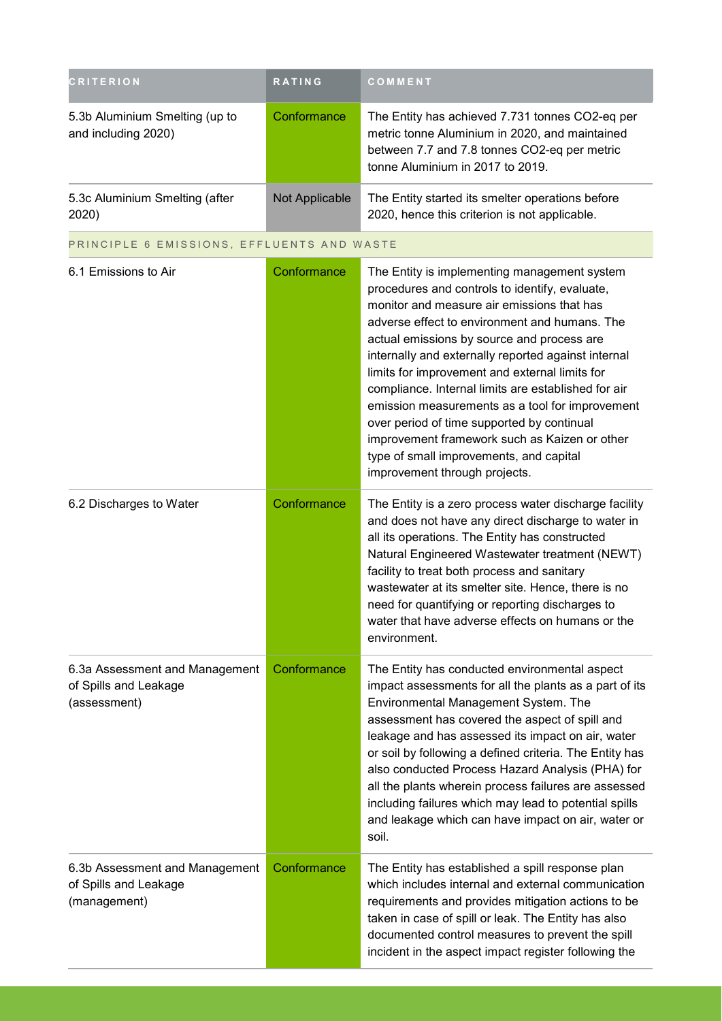| <b>CRITERION</b>                                      | <b>RATING</b>  | <b>COMMENT</b>                                                                                                                                                                        |  |
|-------------------------------------------------------|----------------|---------------------------------------------------------------------------------------------------------------------------------------------------------------------------------------|--|
| 5.3b Aluminium Smelting (up to<br>and including 2020) | Conformance    | The Entity has achieved 7.731 tonnes CO2-eq per<br>metric tonne Aluminium in 2020, and maintained<br>between 7.7 and 7.8 tonnes CO2-eq per metric<br>tonne Aluminium in 2017 to 2019. |  |
| 5.3c Aluminium Smelting (after<br>2020)               | Not Applicable | The Entity started its smelter operations before<br>2020, hence this criterion is not applicable.                                                                                     |  |
| PRINCIPLE 6 EMISSIONS, EFFLUENTS AND WASTE            |                |                                                                                                                                                                                       |  |
| 6.1 Emissions to Air                                  | Conformance    | The Entity is implementing management system<br>procodures and controls to identify ovaluate                                                                                          |  |

| 0. I EMISSIONS tO AIR                                                   | Conformance | The Entity is implementing management system<br>procedures and controls to identify, evaluate,<br>monitor and measure air emissions that has<br>adverse effect to environment and humans. The<br>actual emissions by source and process are<br>internally and externally reported against internal<br>limits for improvement and external limits for<br>compliance. Internal limits are established for air<br>emission measurements as a tool for improvement<br>over period of time supported by continual<br>improvement framework such as Kaizen or other<br>type of small improvements, and capital<br>improvement through projects. |
|-------------------------------------------------------------------------|-------------|-------------------------------------------------------------------------------------------------------------------------------------------------------------------------------------------------------------------------------------------------------------------------------------------------------------------------------------------------------------------------------------------------------------------------------------------------------------------------------------------------------------------------------------------------------------------------------------------------------------------------------------------|
| 6.2 Discharges to Water                                                 | Conformance | The Entity is a zero process water discharge facility<br>and does not have any direct discharge to water in<br>all its operations. The Entity has constructed<br>Natural Engineered Wastewater treatment (NEWT)<br>facility to treat both process and sanitary<br>wastewater at its smelter site. Hence, there is no<br>need for quantifying or reporting discharges to<br>water that have adverse effects on humans or the<br>environment.                                                                                                                                                                                               |
| 6.3a Assessment and Management<br>of Spills and Leakage<br>(assessment) | Conformance | The Entity has conducted environmental aspect<br>impact assessments for all the plants as a part of its<br>Environmental Management System. The<br>assessment has covered the aspect of spill and<br>leakage and has assessed its impact on air, water<br>or soil by following a defined criteria. The Entity has<br>also conducted Process Hazard Analysis (PHA) for<br>all the plants wherein process failures are assessed<br>including failures which may lead to potential spills<br>and leakage which can have impact on air, water or<br>soil.                                                                                     |
| 6.3b Assessment and Management<br>of Spills and Leakage<br>(management) | Conformance | The Entity has established a spill response plan<br>which includes internal and external communication<br>requirements and provides mitigation actions to be<br>taken in case of spill or leak. The Entity has also<br>documented control measures to prevent the spill<br>incident in the aspect impact register following the                                                                                                                                                                                                                                                                                                           |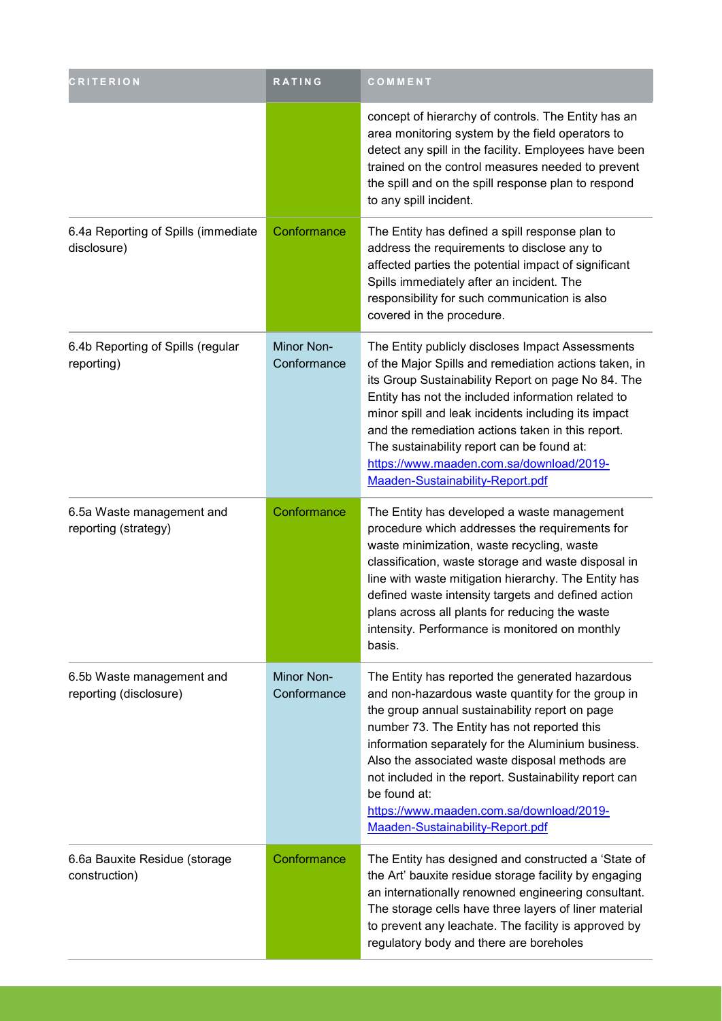| <b>CRITERION</b>                                    | RATING                           | COMMENT                                                                                                                                                                                                                                                                                                                                                                                                                                                                |
|-----------------------------------------------------|----------------------------------|------------------------------------------------------------------------------------------------------------------------------------------------------------------------------------------------------------------------------------------------------------------------------------------------------------------------------------------------------------------------------------------------------------------------------------------------------------------------|
|                                                     |                                  | concept of hierarchy of controls. The Entity has an<br>area monitoring system by the field operators to<br>detect any spill in the facility. Employees have been<br>trained on the control measures needed to prevent<br>the spill and on the spill response plan to respond<br>to any spill incident.                                                                                                                                                                 |
| 6.4a Reporting of Spills (immediate<br>disclosure)  | Conformance                      | The Entity has defined a spill response plan to<br>address the requirements to disclose any to<br>affected parties the potential impact of significant<br>Spills immediately after an incident. The<br>responsibility for such communication is also<br>covered in the procedure.                                                                                                                                                                                      |
| 6.4b Reporting of Spills (regular<br>reporting)     | Minor Non-<br>Conformance        | The Entity publicly discloses Impact Assessments<br>of the Major Spills and remediation actions taken, in<br>its Group Sustainability Report on page No 84. The<br>Entity has not the included information related to<br>minor spill and leak incidents including its impact<br>and the remediation actions taken in this report.<br>The sustainability report can be found at:<br>https://www.maaden.com.sa/download/2019-<br>Maaden-Sustainability-Report.pdf        |
| 6.5a Waste management and<br>reporting (strategy)   | Conformance                      | The Entity has developed a waste management<br>procedure which addresses the requirements for<br>waste minimization, waste recycling, waste<br>classification, waste storage and waste disposal in<br>line with waste mitigation hierarchy. The Entity has<br>defined waste intensity targets and defined action<br>plans across all plants for reducing the waste<br>intensity. Performance is monitored on monthly<br>basis.                                         |
| 6.5b Waste management and<br>reporting (disclosure) | <b>Minor Non-</b><br>Conformance | The Entity has reported the generated hazardous<br>and non-hazardous waste quantity for the group in<br>the group annual sustainability report on page<br>number 73. The Entity has not reported this<br>information separately for the Aluminium business.<br>Also the associated waste disposal methods are<br>not included in the report. Sustainability report can<br>be found at:<br>https://www.maaden.com.sa/download/2019-<br>Maaden-Sustainability-Report.pdf |
| 6.6a Bauxite Residue (storage<br>construction)      | Conformance                      | The Entity has designed and constructed a 'State of<br>the Art' bauxite residue storage facility by engaging<br>an internationally renowned engineering consultant.<br>The storage cells have three layers of liner material<br>to prevent any leachate. The facility is approved by<br>regulatory body and there are boreholes                                                                                                                                        |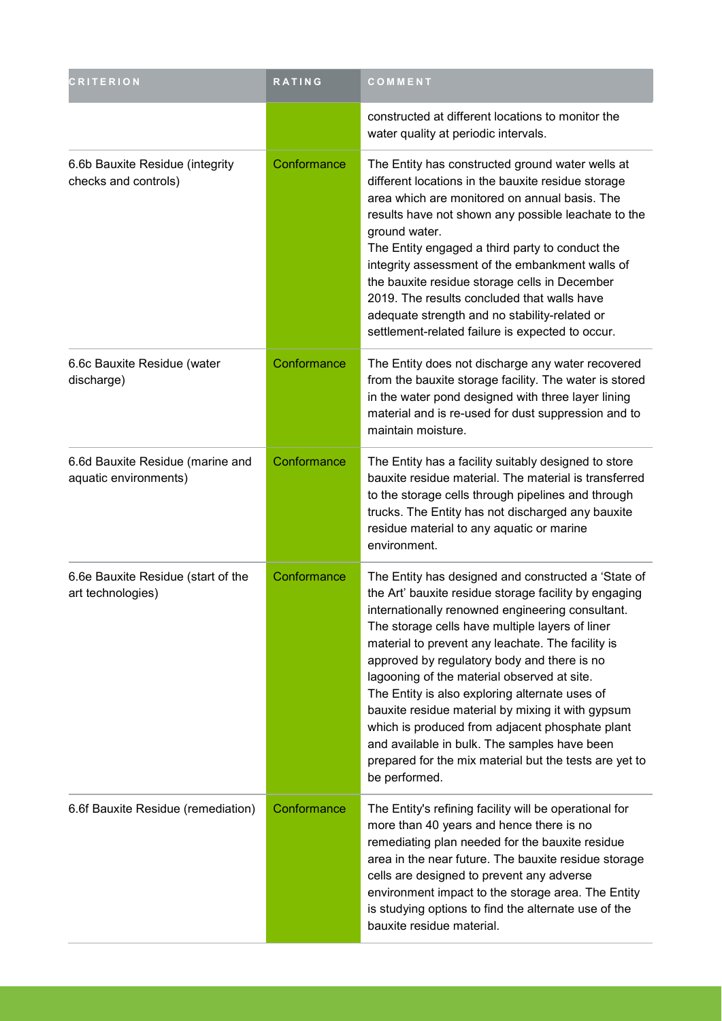| <b>CRITERION</b>                                          | RATING      | COMMENT                                                                                                                                                                                                                                                                                                                                                                                                                                                                                                                                                                                                                                                     |
|-----------------------------------------------------------|-------------|-------------------------------------------------------------------------------------------------------------------------------------------------------------------------------------------------------------------------------------------------------------------------------------------------------------------------------------------------------------------------------------------------------------------------------------------------------------------------------------------------------------------------------------------------------------------------------------------------------------------------------------------------------------|
|                                                           |             | constructed at different locations to monitor the<br>water quality at periodic intervals.                                                                                                                                                                                                                                                                                                                                                                                                                                                                                                                                                                   |
| 6.6b Bauxite Residue (integrity<br>checks and controls)   | Conformance | The Entity has constructed ground water wells at<br>different locations in the bauxite residue storage<br>area which are monitored on annual basis. The<br>results have not shown any possible leachate to the<br>ground water.<br>The Entity engaged a third party to conduct the<br>integrity assessment of the embankment walls of<br>the bauxite residue storage cells in December<br>2019. The results concluded that walls have<br>adequate strength and no stability-related or<br>settlement-related failure is expected to occur.                                                                                                                  |
| 6.6c Bauxite Residue (water<br>discharge)                 | Conformance | The Entity does not discharge any water recovered<br>from the bauxite storage facility. The water is stored<br>in the water pond designed with three layer lining<br>material and is re-used for dust suppression and to<br>maintain moisture.                                                                                                                                                                                                                                                                                                                                                                                                              |
| 6.6d Bauxite Residue (marine and<br>aquatic environments) | Conformance | The Entity has a facility suitably designed to store<br>bauxite residue material. The material is transferred<br>to the storage cells through pipelines and through<br>trucks. The Entity has not discharged any bauxite<br>residue material to any aquatic or marine<br>environment.                                                                                                                                                                                                                                                                                                                                                                       |
| 6.6e Bauxite Residue (start of the<br>art technologies)   | Conformance | The Entity has designed and constructed a 'State of<br>the Art' bauxite residue storage facility by engaging<br>internationally renowned engineering consultant.<br>The storage cells have multiple layers of liner<br>material to prevent any leachate. The facility is<br>approved by regulatory body and there is no<br>lagooning of the material observed at site.<br>The Entity is also exploring alternate uses of<br>bauxite residue material by mixing it with gypsum<br>which is produced from adjacent phosphate plant<br>and available in bulk. The samples have been<br>prepared for the mix material but the tests are yet to<br>be performed. |
| 6.6f Bauxite Residue (remediation)                        | Conformance | The Entity's refining facility will be operational for<br>more than 40 years and hence there is no<br>remediating plan needed for the bauxite residue<br>area in the near future. The bauxite residue storage<br>cells are designed to prevent any adverse<br>environment impact to the storage area. The Entity<br>is studying options to find the alternate use of the<br>bauxite residue material.                                                                                                                                                                                                                                                       |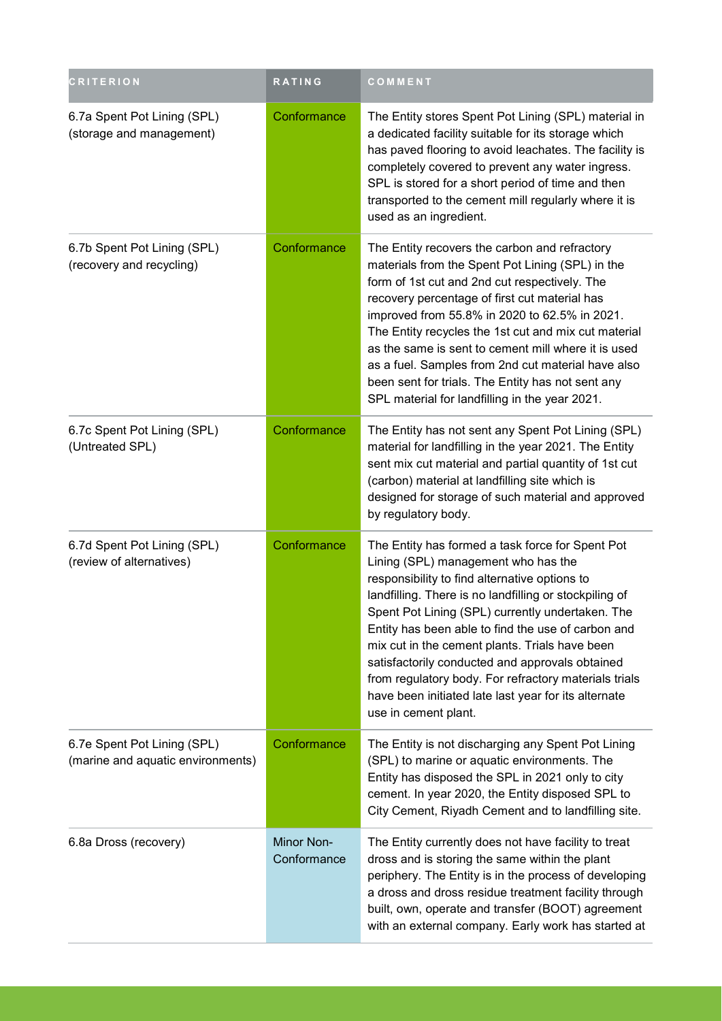| <b>CRITERION</b>                                                 | RATING                    | COMMENT                                                                                                                                                                                                                                                                                                                                                                                                                                                                                                                                                    |
|------------------------------------------------------------------|---------------------------|------------------------------------------------------------------------------------------------------------------------------------------------------------------------------------------------------------------------------------------------------------------------------------------------------------------------------------------------------------------------------------------------------------------------------------------------------------------------------------------------------------------------------------------------------------|
| 6.7a Spent Pot Lining (SPL)<br>(storage and management)          | Conformance               | The Entity stores Spent Pot Lining (SPL) material in<br>a dedicated facility suitable for its storage which<br>has paved flooring to avoid leachates. The facility is<br>completely covered to prevent any water ingress.<br>SPL is stored for a short period of time and then<br>transported to the cement mill regularly where it is<br>used as an ingredient.                                                                                                                                                                                           |
| 6.7b Spent Pot Lining (SPL)<br>(recovery and recycling)          | Conformance               | The Entity recovers the carbon and refractory<br>materials from the Spent Pot Lining (SPL) in the<br>form of 1st cut and 2nd cut respectively. The<br>recovery percentage of first cut material has<br>improved from 55.8% in 2020 to 62.5% in 2021.<br>The Entity recycles the 1st cut and mix cut material<br>as the same is sent to cement mill where it is used<br>as a fuel. Samples from 2nd cut material have also<br>been sent for trials. The Entity has not sent any<br>SPL material for landfilling in the year 2021.                           |
| 6.7c Spent Pot Lining (SPL)<br>(Untreated SPL)                   | Conformance               | The Entity has not sent any Spent Pot Lining (SPL)<br>material for landfilling in the year 2021. The Entity<br>sent mix cut material and partial quantity of 1st cut<br>(carbon) material at landfilling site which is<br>designed for storage of such material and approved<br>by regulatory body.                                                                                                                                                                                                                                                        |
| 6.7d Spent Pot Lining (SPL)<br>(review of alternatives)          | Conformance               | The Entity has formed a task force for Spent Pot<br>Lining (SPL) management who has the<br>responsibility to find alternative options to<br>landfilling. There is no landfilling or stockpiling of<br>Spent Pot Lining (SPL) currently undertaken. The<br>Entity has been able to find the use of carbon and<br>mix cut in the cement plants. Trials have been<br>satisfactorily conducted and approvals obtained<br>from regulatory body. For refractory materials trials<br>have been initiated late last year for its alternate<br>use in cement plant. |
| 6.7e Spent Pot Lining (SPL)<br>(marine and aquatic environments) | Conformance               | The Entity is not discharging any Spent Pot Lining<br>(SPL) to marine or aquatic environments. The<br>Entity has disposed the SPL in 2021 only to city<br>cement. In year 2020, the Entity disposed SPL to<br>City Cement, Riyadh Cement and to landfilling site.                                                                                                                                                                                                                                                                                          |
| 6.8a Dross (recovery)                                            | Minor Non-<br>Conformance | The Entity currently does not have facility to treat<br>dross and is storing the same within the plant<br>periphery. The Entity is in the process of developing<br>a dross and dross residue treatment facility through<br>built, own, operate and transfer (BOOT) agreement<br>with an external company. Early work has started at                                                                                                                                                                                                                        |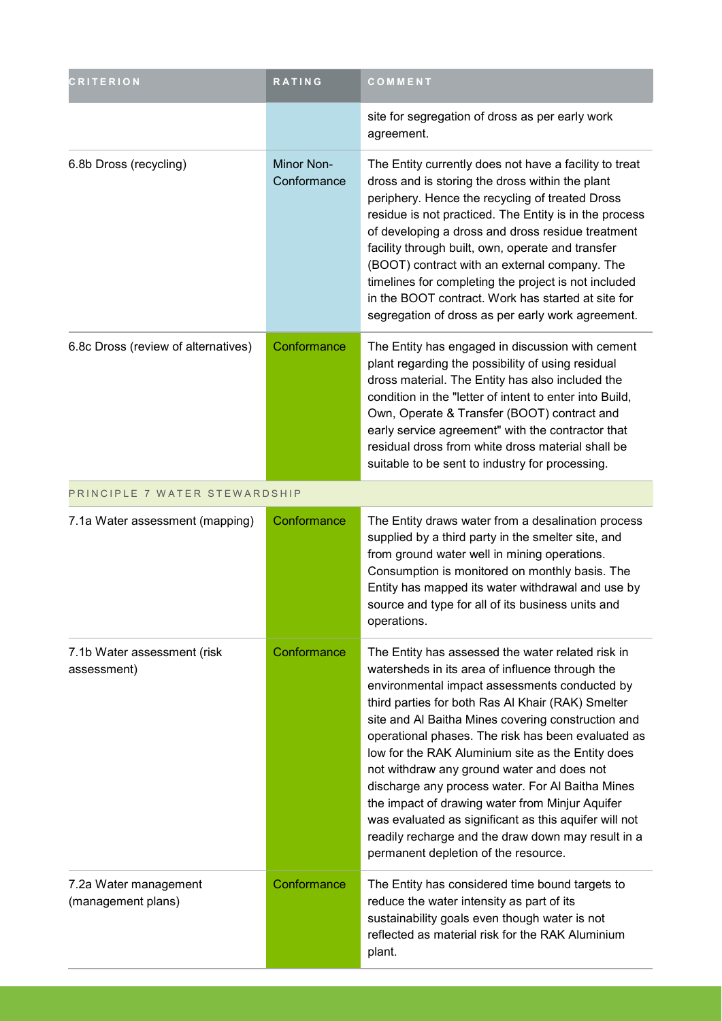| <b>CRITERION</b>                            | <b>RATING</b>                    | COMMENT                                                                                                                                                                                                                                                                                                                                                                                                                                                                                                                                                                                                                                                                                 |
|---------------------------------------------|----------------------------------|-----------------------------------------------------------------------------------------------------------------------------------------------------------------------------------------------------------------------------------------------------------------------------------------------------------------------------------------------------------------------------------------------------------------------------------------------------------------------------------------------------------------------------------------------------------------------------------------------------------------------------------------------------------------------------------------|
|                                             |                                  | site for segregation of dross as per early work<br>agreement.                                                                                                                                                                                                                                                                                                                                                                                                                                                                                                                                                                                                                           |
| 6.8b Dross (recycling)                      | <b>Minor Non-</b><br>Conformance | The Entity currently does not have a facility to treat<br>dross and is storing the dross within the plant<br>periphery. Hence the recycling of treated Dross<br>residue is not practiced. The Entity is in the process<br>of developing a dross and dross residue treatment<br>facility through built, own, operate and transfer<br>(BOOT) contract with an external company. The<br>timelines for completing the project is not included<br>in the BOOT contract. Work has started at site for<br>segregation of dross as per early work agreement.                                                                                                                                    |
| 6.8c Dross (review of alternatives)         | Conformance                      | The Entity has engaged in discussion with cement<br>plant regarding the possibility of using residual<br>dross material. The Entity has also included the<br>condition in the "letter of intent to enter into Build,<br>Own, Operate & Transfer (BOOT) contract and<br>early service agreement" with the contractor that<br>residual dross from white dross material shall be<br>suitable to be sent to industry for processing.                                                                                                                                                                                                                                                        |
| PRINCIPLE 7 WATER STEWARDSHIP               |                                  |                                                                                                                                                                                                                                                                                                                                                                                                                                                                                                                                                                                                                                                                                         |
| 7.1a Water assessment (mapping)             | Conformance                      | The Entity draws water from a desalination process<br>supplied by a third party in the smelter site, and<br>from ground water well in mining operations.<br>Consumption is monitored on monthly basis. The<br>Entity has mapped its water withdrawal and use by<br>source and type for all of its business units and<br>operations.                                                                                                                                                                                                                                                                                                                                                     |
| 7.1b Water assessment (risk<br>assessment)  | Conformance                      | The Entity has assessed the water related risk in<br>watersheds in its area of influence through the<br>environmental impact assessments conducted by<br>third parties for both Ras Al Khair (RAK) Smelter<br>site and Al Baitha Mines covering construction and<br>operational phases. The risk has been evaluated as<br>low for the RAK Aluminium site as the Entity does<br>not withdraw any ground water and does not<br>discharge any process water. For Al Baitha Mines<br>the impact of drawing water from Minjur Aquifer<br>was evaluated as significant as this aquifer will not<br>readily recharge and the draw down may result in a<br>permanent depletion of the resource. |
| 7.2a Water management<br>(management plans) | Conformance                      | The Entity has considered time bound targets to<br>reduce the water intensity as part of its<br>sustainability goals even though water is not<br>reflected as material risk for the RAK Aluminium<br>plant.                                                                                                                                                                                                                                                                                                                                                                                                                                                                             |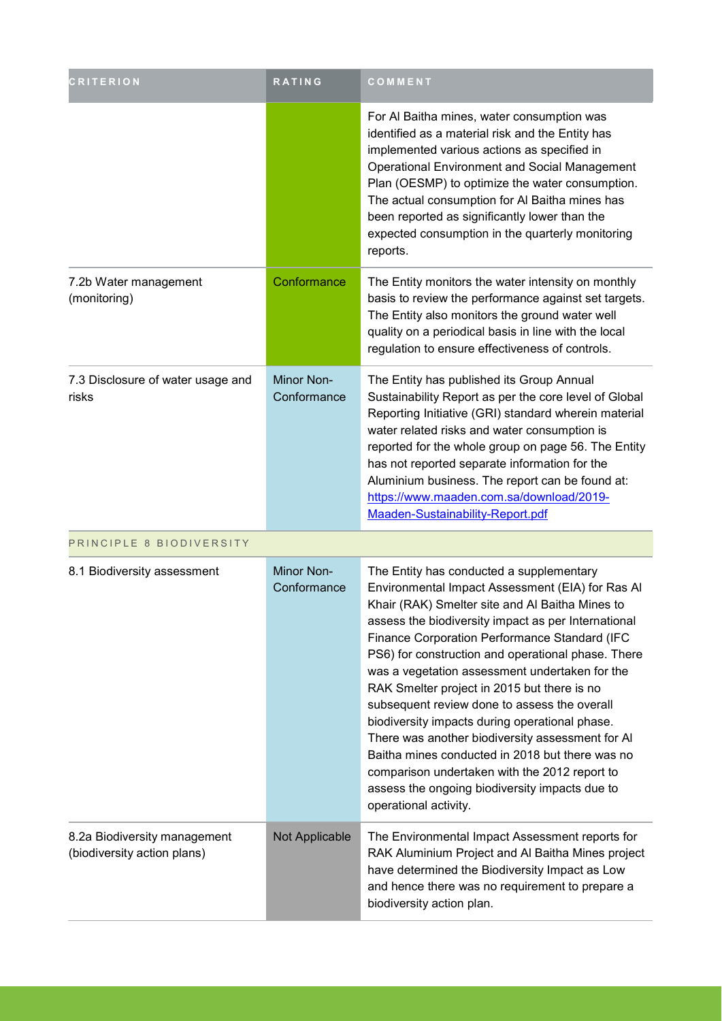| <b>CRITERION</b>                                            | RATING                           | COMMENT                                                                                                                                                                                                                                                                                                                                                                                                                                                                                                                                                                                                                                                                                                                                             |
|-------------------------------------------------------------|----------------------------------|-----------------------------------------------------------------------------------------------------------------------------------------------------------------------------------------------------------------------------------------------------------------------------------------------------------------------------------------------------------------------------------------------------------------------------------------------------------------------------------------------------------------------------------------------------------------------------------------------------------------------------------------------------------------------------------------------------------------------------------------------------|
|                                                             |                                  | For Al Baitha mines, water consumption was<br>identified as a material risk and the Entity has<br>implemented various actions as specified in<br><b>Operational Environment and Social Management</b><br>Plan (OESMP) to optimize the water consumption.<br>The actual consumption for Al Baitha mines has<br>been reported as significantly lower than the<br>expected consumption in the quarterly monitoring<br>reports.                                                                                                                                                                                                                                                                                                                         |
| 7.2b Water management<br>(monitoring)                       | Conformance                      | The Entity monitors the water intensity on monthly<br>basis to review the performance against set targets.<br>The Entity also monitors the ground water well<br>quality on a periodical basis in line with the local<br>regulation to ensure effectiveness of controls.                                                                                                                                                                                                                                                                                                                                                                                                                                                                             |
| 7.3 Disclosure of water usage and<br>risks                  | <b>Minor Non-</b><br>Conformance | The Entity has published its Group Annual<br>Sustainability Report as per the core level of Global<br>Reporting Initiative (GRI) standard wherein material<br>water related risks and water consumption is<br>reported for the whole group on page 56. The Entity<br>has not reported separate information for the<br>Aluminium business. The report can be found at:<br>https://www.maaden.com.sa/download/2019-<br>Maaden-Sustainability-Report.pdf                                                                                                                                                                                                                                                                                               |
| PRINCIPLE 8 BIODIVERSITY                                    |                                  |                                                                                                                                                                                                                                                                                                                                                                                                                                                                                                                                                                                                                                                                                                                                                     |
| 8.1 Biodiversity assessment                                 | Minor Non-<br>Conformance        | The Entity has conducted a supplementary<br>Environmental Impact Assessment (EIA) for Ras Al<br>Khair (RAK) Smelter site and Al Baitha Mines to<br>assess the biodiversity impact as per International<br>Finance Corporation Performance Standard (IFC<br>PS6) for construction and operational phase. There<br>was a vegetation assessment undertaken for the<br>RAK Smelter project in 2015 but there is no<br>subsequent review done to assess the overall<br>biodiversity impacts during operational phase.<br>There was another biodiversity assessment for AI<br>Baitha mines conducted in 2018 but there was no<br>comparison undertaken with the 2012 report to<br>assess the ongoing biodiversity impacts due to<br>operational activity. |
| 8.2a Biodiversity management<br>(biodiversity action plans) | Not Applicable                   | The Environmental Impact Assessment reports for<br>RAK Aluminium Project and Al Baitha Mines project<br>have determined the Biodiversity Impact as Low<br>and hence there was no requirement to prepare a<br>biodiversity action plan.                                                                                                                                                                                                                                                                                                                                                                                                                                                                                                              |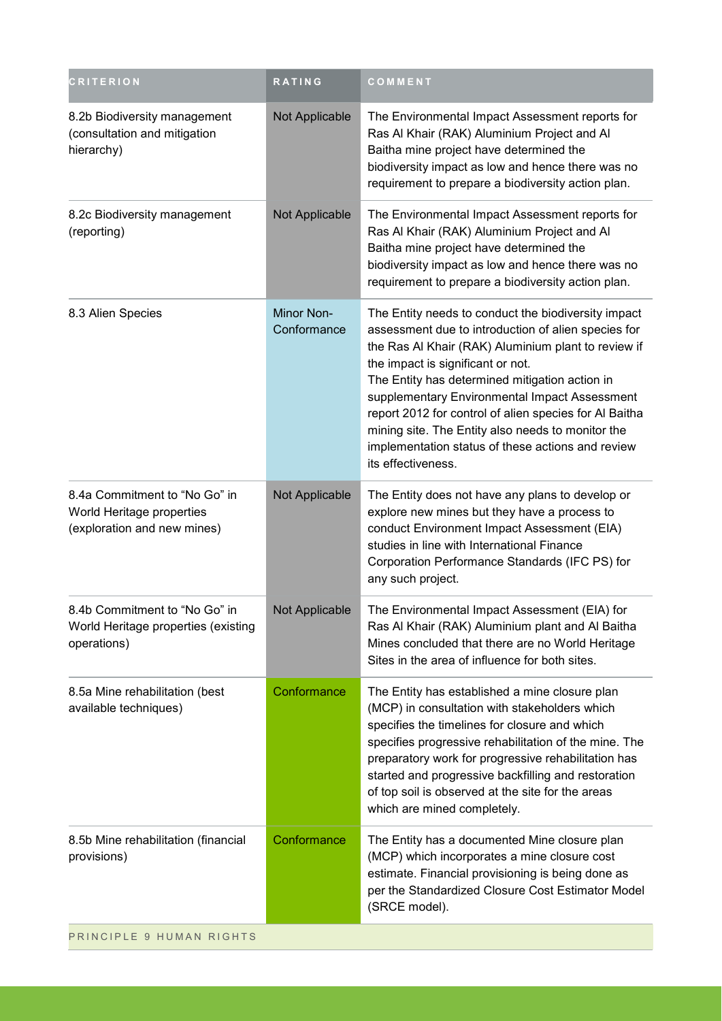| <b>CRITERION</b>                                                                          | <b>RATING</b>                    | COMMENT                                                                                                                                                                                                                                                                                                                                                                                                                                                                                             |
|-------------------------------------------------------------------------------------------|----------------------------------|-----------------------------------------------------------------------------------------------------------------------------------------------------------------------------------------------------------------------------------------------------------------------------------------------------------------------------------------------------------------------------------------------------------------------------------------------------------------------------------------------------|
| 8.2b Biodiversity management<br>(consultation and mitigation<br>hierarchy)                | Not Applicable                   | The Environmental Impact Assessment reports for<br>Ras Al Khair (RAK) Aluminium Project and Al<br>Baitha mine project have determined the<br>biodiversity impact as low and hence there was no<br>requirement to prepare a biodiversity action plan.                                                                                                                                                                                                                                                |
| 8.2c Biodiversity management<br>(reporting)                                               | Not Applicable                   | The Environmental Impact Assessment reports for<br>Ras Al Khair (RAK) Aluminium Project and Al<br>Baitha mine project have determined the<br>biodiversity impact as low and hence there was no<br>requirement to prepare a biodiversity action plan.                                                                                                                                                                                                                                                |
| 8.3 Alien Species                                                                         | <b>Minor Non-</b><br>Conformance | The Entity needs to conduct the biodiversity impact<br>assessment due to introduction of alien species for<br>the Ras Al Khair (RAK) Aluminium plant to review if<br>the impact is significant or not.<br>The Entity has determined mitigation action in<br>supplementary Environmental Impact Assessment<br>report 2012 for control of alien species for Al Baitha<br>mining site. The Entity also needs to monitor the<br>implementation status of these actions and review<br>its effectiveness. |
| 8.4a Commitment to "No Go" in<br>World Heritage properties<br>(exploration and new mines) | Not Applicable                   | The Entity does not have any plans to develop or<br>explore new mines but they have a process to<br>conduct Environment Impact Assessment (EIA)<br>studies in line with International Finance<br>Corporation Performance Standards (IFC PS) for<br>any such project.                                                                                                                                                                                                                                |
| 8.4b Commitment to "No Go" in<br>World Heritage properties (existing<br>operations)       | Not Applicable                   | The Environmental Impact Assessment (EIA) for<br>Ras Al Khair (RAK) Aluminium plant and Al Baitha<br>Mines concluded that there are no World Heritage<br>Sites in the area of influence for both sites.                                                                                                                                                                                                                                                                                             |
| 8.5a Mine rehabilitation (best<br>available techniques)                                   | Conformance                      | The Entity has established a mine closure plan<br>(MCP) in consultation with stakeholders which<br>specifies the timelines for closure and which<br>specifies progressive rehabilitation of the mine. The<br>preparatory work for progressive rehabilitation has<br>started and progressive backfilling and restoration<br>of top soil is observed at the site for the areas<br>which are mined completely.                                                                                         |
| 8.5b Mine rehabilitation (financial<br>provisions)                                        | Conformance                      | The Entity has a documented Mine closure plan<br>(MCP) which incorporates a mine closure cost<br>estimate. Financial provisioning is being done as<br>per the Standardized Closure Cost Estimator Model<br>(SRCE model).                                                                                                                                                                                                                                                                            |
| PRINCIPLE 9 HUMAN RIGHTS                                                                  |                                  |                                                                                                                                                                                                                                                                                                                                                                                                                                                                                                     |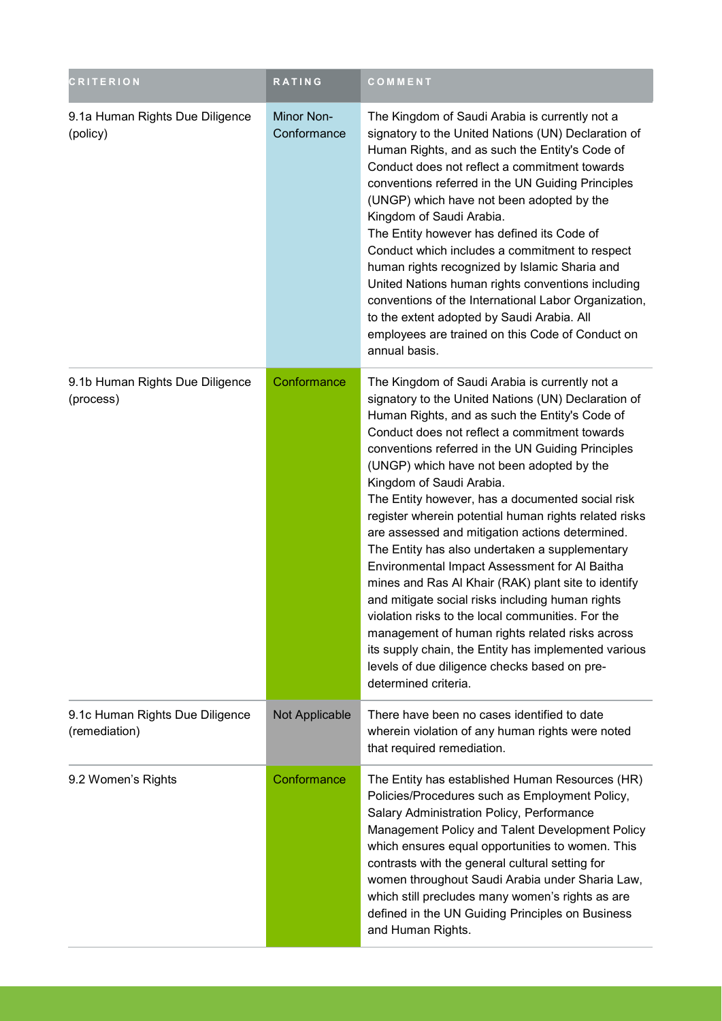| <b>CRITERION</b>                                 | <b>RATING</b>                    | COMMENT                                                                                                                                                                                                                                                                                                                                                                                                                                                                                                                                                                                                                                                                                                                                                                                                                                                                                                                                                      |
|--------------------------------------------------|----------------------------------|--------------------------------------------------------------------------------------------------------------------------------------------------------------------------------------------------------------------------------------------------------------------------------------------------------------------------------------------------------------------------------------------------------------------------------------------------------------------------------------------------------------------------------------------------------------------------------------------------------------------------------------------------------------------------------------------------------------------------------------------------------------------------------------------------------------------------------------------------------------------------------------------------------------------------------------------------------------|
| 9.1a Human Rights Due Diligence<br>(policy)      | <b>Minor Non-</b><br>Conformance | The Kingdom of Saudi Arabia is currently not a<br>signatory to the United Nations (UN) Declaration of<br>Human Rights, and as such the Entity's Code of<br>Conduct does not reflect a commitment towards<br>conventions referred in the UN Guiding Principles<br>(UNGP) which have not been adopted by the<br>Kingdom of Saudi Arabia.<br>The Entity however has defined its Code of<br>Conduct which includes a commitment to respect<br>human rights recognized by Islamic Sharia and<br>United Nations human rights conventions including<br>conventions of the International Labor Organization,<br>to the extent adopted by Saudi Arabia. All<br>employees are trained on this Code of Conduct on<br>annual basis.                                                                                                                                                                                                                                      |
| 9.1b Human Rights Due Diligence<br>(process)     | Conformance                      | The Kingdom of Saudi Arabia is currently not a<br>signatory to the United Nations (UN) Declaration of<br>Human Rights, and as such the Entity's Code of<br>Conduct does not reflect a commitment towards<br>conventions referred in the UN Guiding Principles<br>(UNGP) which have not been adopted by the<br>Kingdom of Saudi Arabia.<br>The Entity however, has a documented social risk<br>register wherein potential human rights related risks<br>are assessed and mitigation actions determined.<br>The Entity has also undertaken a supplementary<br>Environmental Impact Assessment for Al Baitha<br>mines and Ras Al Khair (RAK) plant site to identify<br>and mitigate social risks including human rights<br>violation risks to the local communities. For the<br>management of human rights related risks across<br>its supply chain, the Entity has implemented various<br>levels of due diligence checks based on pre-<br>determined criteria. |
| 9.1c Human Rights Due Diligence<br>(remediation) | Not Applicable                   | There have been no cases identified to date<br>wherein violation of any human rights were noted<br>that required remediation.                                                                                                                                                                                                                                                                                                                                                                                                                                                                                                                                                                                                                                                                                                                                                                                                                                |
| 9.2 Women's Rights                               | Conformance                      | The Entity has established Human Resources (HR)<br>Policies/Procedures such as Employment Policy,<br>Salary Administration Policy, Performance<br>Management Policy and Talent Development Policy<br>which ensures equal opportunities to women. This<br>contrasts with the general cultural setting for<br>women throughout Saudi Arabia under Sharia Law,<br>which still precludes many women's rights as are<br>defined in the UN Guiding Principles on Business<br>and Human Rights.                                                                                                                                                                                                                                                                                                                                                                                                                                                                     |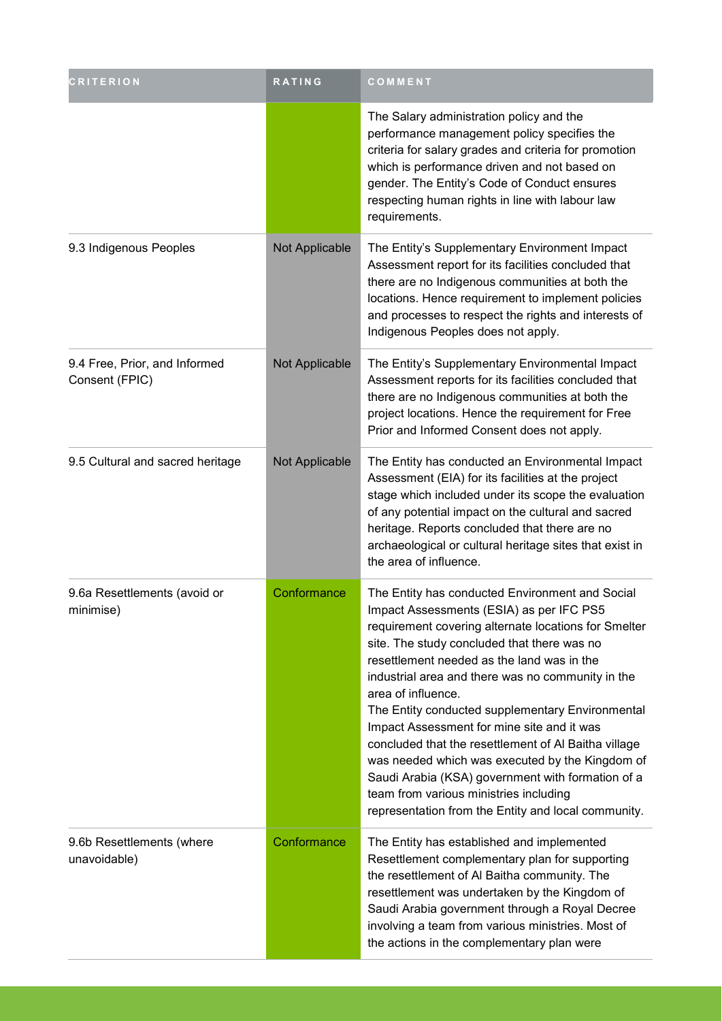| <b>CRITERION</b>                                | RATING         | COMMENT                                                                                                                                                                                                                                                                                                                                                                                                                                                                                                                                                                                                                                                                                        |
|-------------------------------------------------|----------------|------------------------------------------------------------------------------------------------------------------------------------------------------------------------------------------------------------------------------------------------------------------------------------------------------------------------------------------------------------------------------------------------------------------------------------------------------------------------------------------------------------------------------------------------------------------------------------------------------------------------------------------------------------------------------------------------|
|                                                 |                | The Salary administration policy and the<br>performance management policy specifies the<br>criteria for salary grades and criteria for promotion<br>which is performance driven and not based on<br>gender. The Entity's Code of Conduct ensures<br>respecting human rights in line with labour law<br>requirements.                                                                                                                                                                                                                                                                                                                                                                           |
| 9.3 Indigenous Peoples                          | Not Applicable | The Entity's Supplementary Environment Impact<br>Assessment report for its facilities concluded that<br>there are no Indigenous communities at both the<br>locations. Hence requirement to implement policies<br>and processes to respect the rights and interests of<br>Indigenous Peoples does not apply.                                                                                                                                                                                                                                                                                                                                                                                    |
| 9.4 Free, Prior, and Informed<br>Consent (FPIC) | Not Applicable | The Entity's Supplementary Environmental Impact<br>Assessment reports for its facilities concluded that<br>there are no Indigenous communities at both the<br>project locations. Hence the requirement for Free<br>Prior and Informed Consent does not apply.                                                                                                                                                                                                                                                                                                                                                                                                                                  |
| 9.5 Cultural and sacred heritage                | Not Applicable | The Entity has conducted an Environmental Impact<br>Assessment (EIA) for its facilities at the project<br>stage which included under its scope the evaluation<br>of any potential impact on the cultural and sacred<br>heritage. Reports concluded that there are no<br>archaeological or cultural heritage sites that exist in<br>the area of influence.                                                                                                                                                                                                                                                                                                                                      |
| 9.6a Resettlements (avoid or<br>minimise)       | Conformance    | The Entity has conducted Environment and Social<br>Impact Assessments (ESIA) as per IFC PS5<br>requirement covering alternate locations for Smelter<br>site. The study concluded that there was no<br>resettlement needed as the land was in the<br>industrial area and there was no community in the<br>area of influence.<br>The Entity conducted supplementary Environmental<br>Impact Assessment for mine site and it was<br>concluded that the resettlement of Al Baitha village<br>was needed which was executed by the Kingdom of<br>Saudi Arabia (KSA) government with formation of a<br>team from various ministries including<br>representation from the Entity and local community. |
| 9.6b Resettlements (where<br>unavoidable)       | Conformance    | The Entity has established and implemented<br>Resettlement complementary plan for supporting<br>the resettlement of Al Baitha community. The<br>resettlement was undertaken by the Kingdom of<br>Saudi Arabia government through a Royal Decree<br>involving a team from various ministries. Most of<br>the actions in the complementary plan were                                                                                                                                                                                                                                                                                                                                             |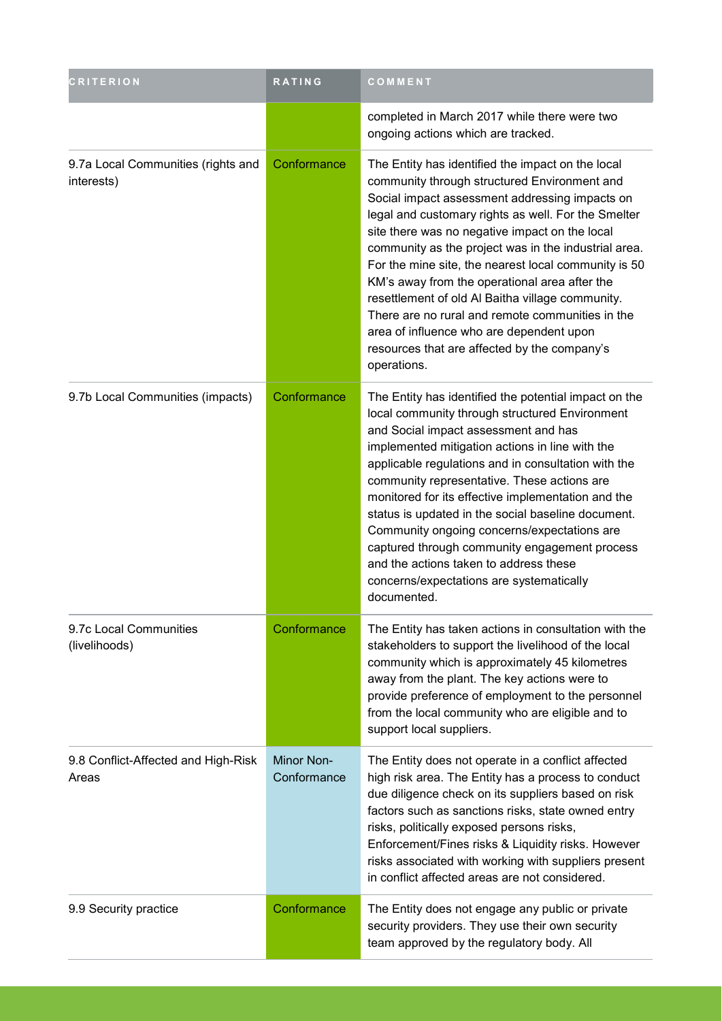| <b>CRITERION</b>                                 | <b>RATING</b>                    | COMMENT                                                                                                                                                                                                                                                                                                                                                                                                                                                                                                                                                                                                                                          |
|--------------------------------------------------|----------------------------------|--------------------------------------------------------------------------------------------------------------------------------------------------------------------------------------------------------------------------------------------------------------------------------------------------------------------------------------------------------------------------------------------------------------------------------------------------------------------------------------------------------------------------------------------------------------------------------------------------------------------------------------------------|
|                                                  |                                  | completed in March 2017 while there were two<br>ongoing actions which are tracked.                                                                                                                                                                                                                                                                                                                                                                                                                                                                                                                                                               |
| 9.7a Local Communities (rights and<br>interests) | Conformance                      | The Entity has identified the impact on the local<br>community through structured Environment and<br>Social impact assessment addressing impacts on<br>legal and customary rights as well. For the Smelter<br>site there was no negative impact on the local<br>community as the project was in the industrial area.<br>For the mine site, the nearest local community is 50<br>KM's away from the operational area after the<br>resettlement of old Al Baitha village community.<br>There are no rural and remote communities in the<br>area of influence who are dependent upon<br>resources that are affected by the company's<br>operations. |
| 9.7b Local Communities (impacts)                 | Conformance                      | The Entity has identified the potential impact on the<br>local community through structured Environment<br>and Social impact assessment and has<br>implemented mitigation actions in line with the<br>applicable regulations and in consultation with the<br>community representative. These actions are<br>monitored for its effective implementation and the<br>status is updated in the social baseline document.<br>Community ongoing concerns/expectations are<br>captured through community engagement process<br>and the actions taken to address these<br>concerns/expectations are systematically<br>documented.                        |
| 9.7c Local Communities<br>(livelihoods)          | Conformance                      | The Entity has taken actions in consultation with the<br>stakeholders to support the livelihood of the local<br>community which is approximately 45 kilometres<br>away from the plant. The key actions were to<br>provide preference of employment to the personnel<br>from the local community who are eligible and to<br>support local suppliers.                                                                                                                                                                                                                                                                                              |
| 9.8 Conflict-Affected and High-Risk<br>Areas     | <b>Minor Non-</b><br>Conformance | The Entity does not operate in a conflict affected<br>high risk area. The Entity has a process to conduct<br>due diligence check on its suppliers based on risk<br>factors such as sanctions risks, state owned entry<br>risks, politically exposed persons risks,<br>Enforcement/Fines risks & Liquidity risks. However<br>risks associated with working with suppliers present<br>in conflict affected areas are not considered.                                                                                                                                                                                                               |
| 9.9 Security practice                            | Conformance                      | The Entity does not engage any public or private<br>security providers. They use their own security<br>team approved by the regulatory body. All                                                                                                                                                                                                                                                                                                                                                                                                                                                                                                 |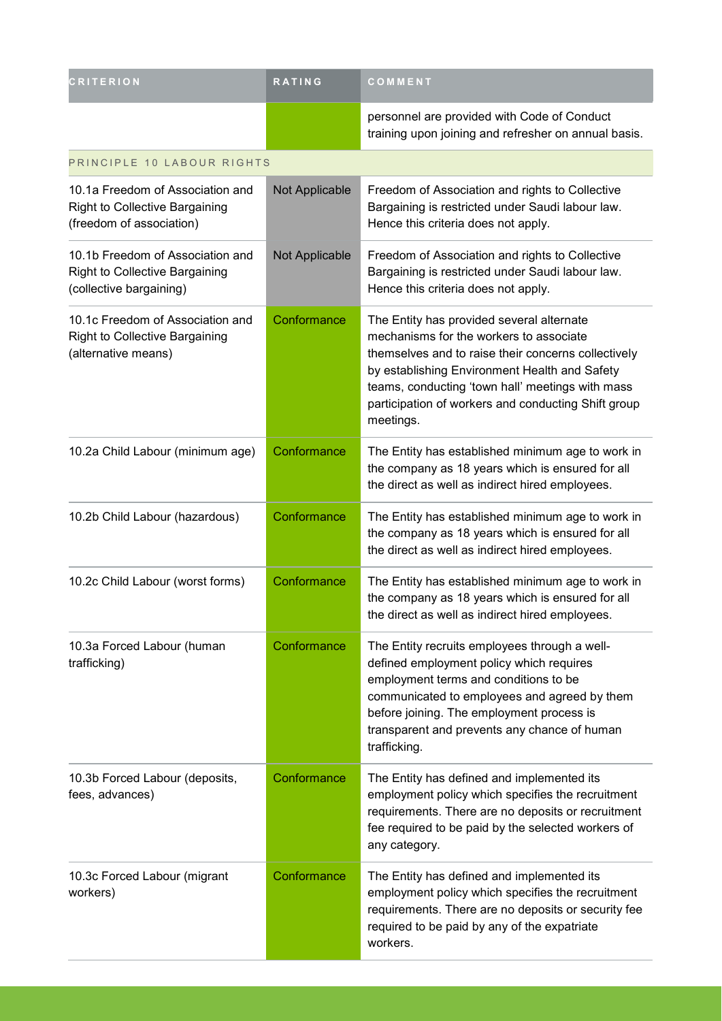| <b>CRITERION</b>                                                                                      | <b>RATING</b>  | COMMENT                                                                                                                                                                                                                                                                                                              |
|-------------------------------------------------------------------------------------------------------|----------------|----------------------------------------------------------------------------------------------------------------------------------------------------------------------------------------------------------------------------------------------------------------------------------------------------------------------|
|                                                                                                       |                | personnel are provided with Code of Conduct<br>training upon joining and refresher on annual basis.                                                                                                                                                                                                                  |
| PRINCIPLE 10 LABOUR RIGHTS                                                                            |                |                                                                                                                                                                                                                                                                                                                      |
| 10.1a Freedom of Association and<br><b>Right to Collective Bargaining</b><br>(freedom of association) | Not Applicable | Freedom of Association and rights to Collective<br>Bargaining is restricted under Saudi labour law.<br>Hence this criteria does not apply.                                                                                                                                                                           |
| 10.1b Freedom of Association and<br><b>Right to Collective Bargaining</b><br>(collective bargaining)  | Not Applicable | Freedom of Association and rights to Collective<br>Bargaining is restricted under Saudi labour law.<br>Hence this criteria does not apply.                                                                                                                                                                           |
| 10.1c Freedom of Association and<br><b>Right to Collective Bargaining</b><br>(alternative means)      | Conformance    | The Entity has provided several alternate<br>mechanisms for the workers to associate<br>themselves and to raise their concerns collectively<br>by establishing Environment Health and Safety<br>teams, conducting 'town hall' meetings with mass<br>participation of workers and conducting Shift group<br>meetings. |
| 10.2a Child Labour (minimum age)                                                                      | Conformance    | The Entity has established minimum age to work in<br>the company as 18 years which is ensured for all<br>the direct as well as indirect hired employees.                                                                                                                                                             |
| 10.2b Child Labour (hazardous)                                                                        | Conformance    | The Entity has established minimum age to work in<br>the company as 18 years which is ensured for all<br>the direct as well as indirect hired employees.                                                                                                                                                             |
| 10.2c Child Labour (worst forms)                                                                      | Conformance    | The Entity has established minimum age to work in<br>the company as 18 years which is ensured for all<br>the direct as well as indirect hired employees.                                                                                                                                                             |
| 10.3a Forced Labour (human<br>trafficking)                                                            | Conformance    | The Entity recruits employees through a well-<br>defined employment policy which requires<br>employment terms and conditions to be<br>communicated to employees and agreed by them<br>before joining. The employment process is<br>transparent and prevents any chance of human<br>trafficking.                      |
| 10.3b Forced Labour (deposits,<br>fees, advances)                                                     | Conformance    | The Entity has defined and implemented its<br>employment policy which specifies the recruitment<br>requirements. There are no deposits or recruitment<br>fee required to be paid by the selected workers of<br>any category.                                                                                         |
| 10.3c Forced Labour (migrant<br>workers)                                                              | Conformance    | The Entity has defined and implemented its<br>employment policy which specifies the recruitment<br>requirements. There are no deposits or security fee<br>required to be paid by any of the expatriate<br>workers.                                                                                                   |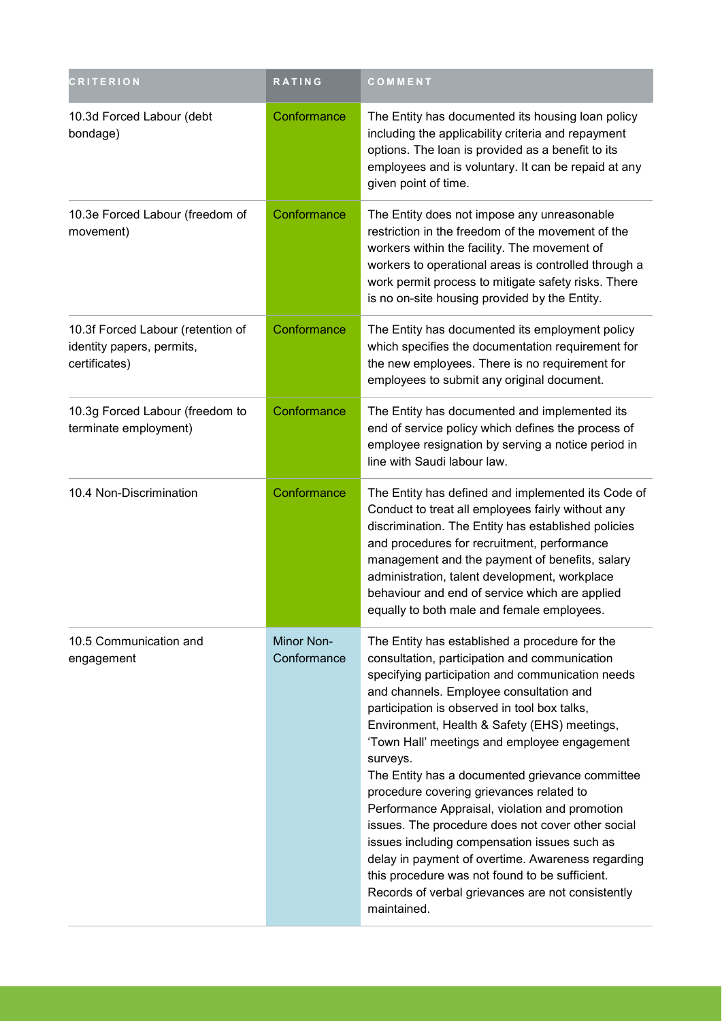| <b>CRITERION</b>                                                                | <b>RATING</b>             | COMMENT                                                                                                                                                                                                                                                                                                                                                                                                                                                                                                                                                                                                                                                                                                                                                                                     |
|---------------------------------------------------------------------------------|---------------------------|---------------------------------------------------------------------------------------------------------------------------------------------------------------------------------------------------------------------------------------------------------------------------------------------------------------------------------------------------------------------------------------------------------------------------------------------------------------------------------------------------------------------------------------------------------------------------------------------------------------------------------------------------------------------------------------------------------------------------------------------------------------------------------------------|
| 10.3d Forced Labour (debt<br>bondage)                                           | Conformance               | The Entity has documented its housing loan policy<br>including the applicability criteria and repayment<br>options. The loan is provided as a benefit to its<br>employees and is voluntary. It can be repaid at any<br>given point of time.                                                                                                                                                                                                                                                                                                                                                                                                                                                                                                                                                 |
| 10.3e Forced Labour (freedom of<br>movement)                                    | Conformance               | The Entity does not impose any unreasonable<br>restriction in the freedom of the movement of the<br>workers within the facility. The movement of<br>workers to operational areas is controlled through a<br>work permit process to mitigate safety risks. There<br>is no on-site housing provided by the Entity.                                                                                                                                                                                                                                                                                                                                                                                                                                                                            |
| 10.3f Forced Labour (retention of<br>identity papers, permits,<br>certificates) | Conformance               | The Entity has documented its employment policy<br>which specifies the documentation requirement for<br>the new employees. There is no requirement for<br>employees to submit any original document.                                                                                                                                                                                                                                                                                                                                                                                                                                                                                                                                                                                        |
| 10.3g Forced Labour (freedom to<br>terminate employment)                        | Conformance               | The Entity has documented and implemented its<br>end of service policy which defines the process of<br>employee resignation by serving a notice period in<br>line with Saudi labour law.                                                                                                                                                                                                                                                                                                                                                                                                                                                                                                                                                                                                    |
| 10.4 Non-Discrimination                                                         | Conformance               | The Entity has defined and implemented its Code of<br>Conduct to treat all employees fairly without any<br>discrimination. The Entity has established policies<br>and procedures for recruitment, performance<br>management and the payment of benefits, salary<br>administration, talent development, workplace<br>behaviour and end of service which are applied<br>equally to both male and female employees.                                                                                                                                                                                                                                                                                                                                                                            |
| 10.5 Communication and<br>engagement                                            | Minor Non-<br>Conformance | The Entity has established a procedure for the<br>consultation, participation and communication<br>specifying participation and communication needs<br>and channels. Employee consultation and<br>participation is observed in tool box talks,<br>Environment, Health & Safety (EHS) meetings,<br>'Town Hall' meetings and employee engagement<br>surveys.<br>The Entity has a documented grievance committee<br>procedure covering grievances related to<br>Performance Appraisal, violation and promotion<br>issues. The procedure does not cover other social<br>issues including compensation issues such as<br>delay in payment of overtime. Awareness regarding<br>this procedure was not found to be sufficient.<br>Records of verbal grievances are not consistently<br>maintained. |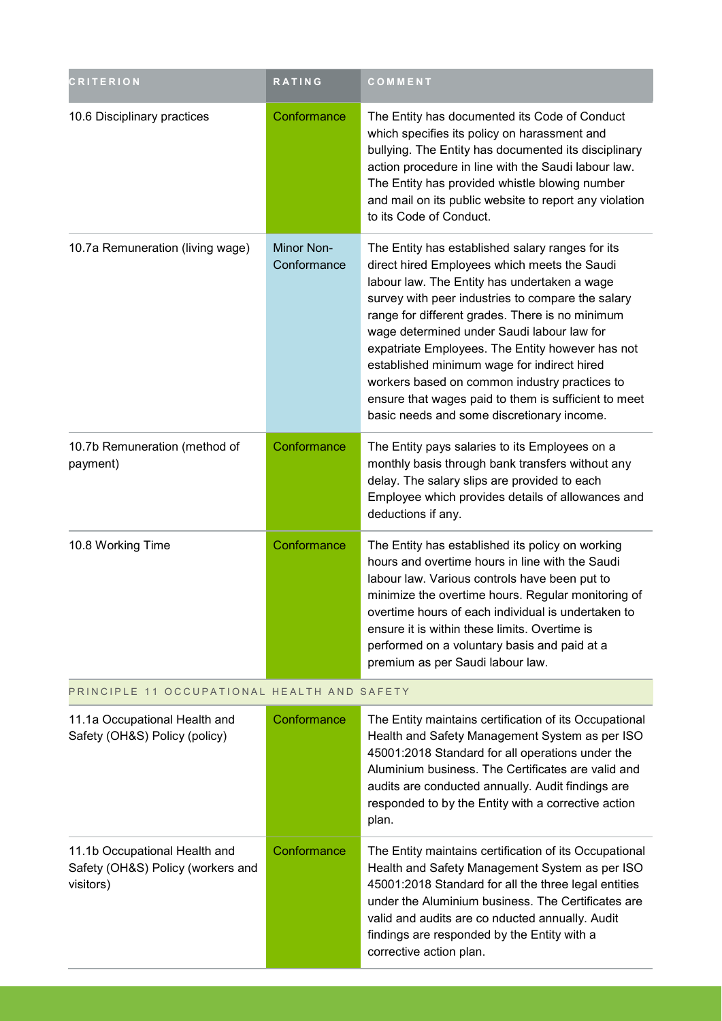| <b>CRITERION</b>                                                                | RATING                    | COMMENT                                                                                                                                                                                                                                                                                                                                                                                                                                                                                                                                                          |
|---------------------------------------------------------------------------------|---------------------------|------------------------------------------------------------------------------------------------------------------------------------------------------------------------------------------------------------------------------------------------------------------------------------------------------------------------------------------------------------------------------------------------------------------------------------------------------------------------------------------------------------------------------------------------------------------|
| 10.6 Disciplinary practices                                                     | Conformance               | The Entity has documented its Code of Conduct<br>which specifies its policy on harassment and<br>bullying. The Entity has documented its disciplinary<br>action procedure in line with the Saudi labour law.<br>The Entity has provided whistle blowing number<br>and mail on its public website to report any violation<br>to its Code of Conduct.                                                                                                                                                                                                              |
| 10.7a Remuneration (living wage)                                                | Minor Non-<br>Conformance | The Entity has established salary ranges for its<br>direct hired Employees which meets the Saudi<br>labour law. The Entity has undertaken a wage<br>survey with peer industries to compare the salary<br>range for different grades. There is no minimum<br>wage determined under Saudi labour law for<br>expatriate Employees. The Entity however has not<br>established minimum wage for indirect hired<br>workers based on common industry practices to<br>ensure that wages paid to them is sufficient to meet<br>basic needs and some discretionary income. |
| 10.7b Remuneration (method of<br>payment)                                       | Conformance               | The Entity pays salaries to its Employees on a<br>monthly basis through bank transfers without any<br>delay. The salary slips are provided to each<br>Employee which provides details of allowances and<br>deductions if any.                                                                                                                                                                                                                                                                                                                                    |
| 10.8 Working Time                                                               | Conformance               | The Entity has established its policy on working<br>hours and overtime hours in line with the Saudi<br>labour law. Various controls have been put to<br>minimize the overtime hours. Regular monitoring of<br>overtime hours of each individual is undertaken to<br>ensure it is within these limits. Overtime is<br>performed on a voluntary basis and paid at a<br>premium as per Saudi labour law.                                                                                                                                                            |
| PRINCIPLE 11 OCCUPATIONAL HEALTH AND SAFETY                                     |                           |                                                                                                                                                                                                                                                                                                                                                                                                                                                                                                                                                                  |
| 11.1a Occupational Health and<br>Safety (OH&S) Policy (policy)                  | Conformance               | The Entity maintains certification of its Occupational<br>Health and Safety Management System as per ISO<br>45001:2018 Standard for all operations under the<br>Aluminium business. The Certificates are valid and<br>audits are conducted annually. Audit findings are<br>responded to by the Entity with a corrective action<br>plan.                                                                                                                                                                                                                          |
| 11.1b Occupational Health and<br>Safety (OH&S) Policy (workers and<br>visitors) | Conformance               | The Entity maintains certification of its Occupational<br>Health and Safety Management System as per ISO<br>45001:2018 Standard for all the three legal entities                                                                                                                                                                                                                                                                                                                                                                                                 |

under the Aluminium business. The Certificates are valid and audits are co nducted annually. Audit findings are responded by the Entity with a

corrective action plan.